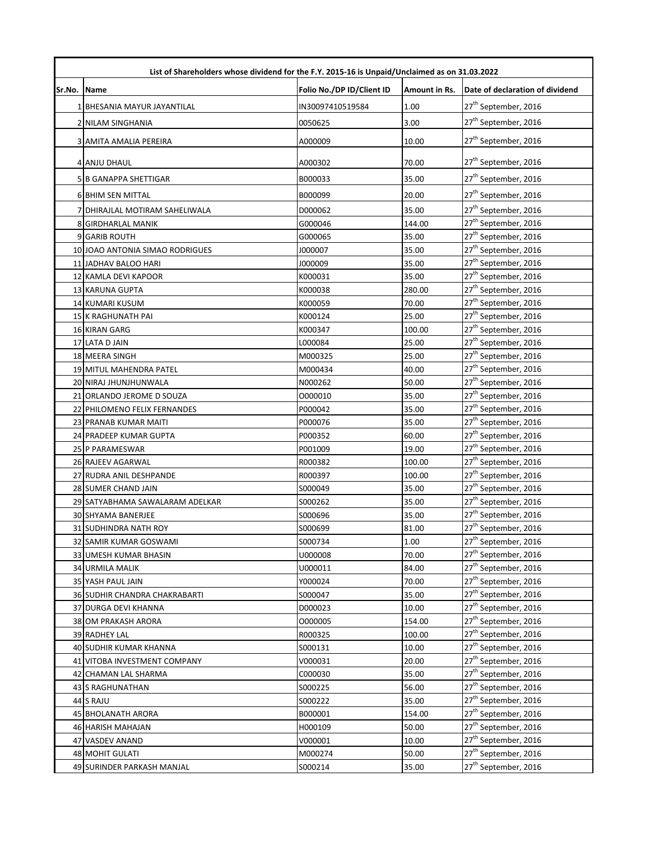|        | List of Shareholders whose dividend for the F.Y. 2015-16 is Unpaid/Unclaimed as on 31.03.2022 |                           |               |                                  |  |
|--------|-----------------------------------------------------------------------------------------------|---------------------------|---------------|----------------------------------|--|
| Sr.No. | <b>Name</b>                                                                                   | Folio No./DP ID/Client ID | Amount in Rs. | Date of declaration of dividend  |  |
|        | 1 BHESANIA MAYUR JAYANTILAL                                                                   | IN30097410519584          | 1.00          | 27 <sup>th</sup> September, 2016 |  |
|        | <b>2 NILAM SINGHANIA</b>                                                                      | 0050625                   | 3.00          | 27 <sup>th</sup> September, 2016 |  |
|        | 3 AMITA AMALIA PEREIRA                                                                        | A000009                   | 10.00         | 27 <sup>th</sup> September, 2016 |  |
|        | 4 ANJU DHAUL                                                                                  | A000302                   | 70.00         | 27 <sup>th</sup> September, 2016 |  |
|        | 5 B GANAPPA SHETTIGAR                                                                         | B000033                   | 35.00         | 27 <sup>th</sup> September, 2016 |  |
|        | <b>6 BHIM SEN MITTAL</b>                                                                      | B000099                   | 20.00         | 27 <sup>th</sup> September, 2016 |  |
|        | 7 DHIRAJLAL MOTIRAM SAHELIWALA                                                                | D000062                   | 35.00         | 27 <sup>th</sup> September, 2016 |  |
|        | 8 GIRDHARLAL MANIK                                                                            | G000046                   | 144.00        | 27 <sup>th</sup> September, 2016 |  |
|        | 9 GARIB ROUTH                                                                                 | G000065                   | 35.00         | 27 <sup>th</sup> September, 2016 |  |
|        | 10 JOAO ANTONIA SIMAO RODRIGUES                                                               | J000007                   | 35.00         | 27 <sup>th</sup> September, 2016 |  |
|        | 11 JADHAV BALOO HARI                                                                          | J000009                   | 35.00         | 27 <sup>th</sup> September, 2016 |  |
|        | 12 KAMLA DEVI KAPOOR                                                                          | K000031                   | 35.00         | 27 <sup>th</sup> September, 2016 |  |
|        | 13 KARUNA GUPTA                                                                               | K000038                   | 280.00        | 27 <sup>th</sup> September, 2016 |  |
|        | 14 KUMARI KUSUM                                                                               | K000059                   | 70.00         | 27 <sup>th</sup> September, 2016 |  |
|        | 15 K RAGHUNATH PAI                                                                            | K000124                   | 25.00         | 27 <sup>th</sup> September, 2016 |  |
|        | 16 KIRAN GARG                                                                                 | K000347                   | 100.00        | 27 <sup>th</sup> September, 2016 |  |
|        | 17 LATA D JAIN                                                                                | L000084                   | 25.00         | 27 <sup>th</sup> September, 2016 |  |
|        | 18 MEERA SINGH                                                                                | M000325                   | 25.00         | 27 <sup>th</sup> September, 2016 |  |
|        | 19 MITUL MAHENDRA PATEL                                                                       | M000434                   | 40.00         | 27 <sup>th</sup> September, 2016 |  |
|        | 20 NIRAJ JHUNJHUNWALA                                                                         | N000262                   | 50.00         | 27 <sup>th</sup> September, 2016 |  |
|        | 21 ORLANDO JEROME D SOUZA                                                                     | 0000010                   | 35.00         | 27 <sup>th</sup> September, 2016 |  |
|        | 22 PHILOMENO FELIX FERNANDES                                                                  | P000042                   | 35.00         | 27 <sup>th</sup> September, 2016 |  |
|        | 23 PRANAB KUMAR MAITI                                                                         | P000076                   | 35.00         | 27 <sup>th</sup> September, 2016 |  |
|        | 24 PRADEEP KUMAR GUPTA                                                                        | P000352                   | 60.00         | 27 <sup>th</sup> September, 2016 |  |
|        | 25 P PARAMESWAR                                                                               | P001009                   | 19.00         | 27 <sup>th</sup> September, 2016 |  |
|        | 26 RAJEEV AGARWAL                                                                             | R000382                   | 100.00        | 27 <sup>th</sup> September, 2016 |  |
|        | 27 RUDRA ANIL DESHPANDE                                                                       | R000397                   | 100.00        | 27 <sup>th</sup> September, 2016 |  |
|        | 28 SUMER CHAND JAIN                                                                           | S000049                   | 35.00         | 27 <sup>th</sup> September, 2016 |  |
|        | 29 SATYABHAMA SAWALARAM ADELKAR                                                               | S000262                   | 35.00         | 27 <sup>th</sup> September, 2016 |  |
|        | 30 SHYAMA BANERJEE                                                                            | S000696                   | 35.00         | 27 <sup>th</sup> September, 2016 |  |
|        | 31 SUDHINDRA NATH ROY                                                                         | S000699                   | 81.00         | 27 <sup>th</sup> September, 2016 |  |
|        | 32 SAMIR KUMAR GOSWAMI                                                                        | S000734                   | 1.00          | 27 <sup>th</sup> September, 2016 |  |
|        | 33 UMESH KUMAR BHASIN                                                                         | U000008                   | 70.00         | 27 <sup>th</sup> September, 2016 |  |
|        | 34 URMILA MALIK                                                                               | U000011                   | 84.00         | 27 <sup>th</sup> September, 2016 |  |
|        | 35 YASH PAUL JAIN                                                                             | Y000024                   | 70.00         | 27 <sup>th</sup> September, 2016 |  |
|        | 36 SUDHIR CHANDRA CHAKRABARTI                                                                 | S000047                   | 35.00         | 27 <sup>th</sup> September, 2016 |  |
|        | 37 DURGA DEVI KHANNA                                                                          | D000023                   | 10.00         | 27 <sup>th</sup> September, 2016 |  |
|        | 38 OM PRAKASH ARORA                                                                           | 0000005                   | 154.00        | 27 <sup>th</sup> September, 2016 |  |
|        | 39 RADHEY LAL                                                                                 | R000325                   | 100.00        | 27 <sup>th</sup> September, 2016 |  |
|        | 40 SUDHIR KUMAR KHANNA                                                                        | S000131                   | 10.00         | 27 <sup>th</sup> September, 2016 |  |
|        | 41 VITOBA INVESTMENT COMPANY                                                                  | V000031                   | 20.00         | 27 <sup>th</sup> September, 2016 |  |
|        | 42 CHAMAN LAL SHARMA                                                                          | C000030                   | 35.00         | 27 <sup>th</sup> September, 2016 |  |
|        | 43 S RAGHUNATHAN                                                                              | S000225                   | 56.00         | 27 <sup>th</sup> September, 2016 |  |
|        | 44 S RAJU                                                                                     | S000222                   | 35.00         | 27 <sup>th</sup> September, 2016 |  |
|        | 45 BHOLANATH ARORA                                                                            | B000001                   | 154.00        | 27 <sup>th</sup> September, 2016 |  |
|        | 46 HARISH MAHAJAN                                                                             | H000109                   | 50.00         | 27 <sup>th</sup> September, 2016 |  |
|        | 47 VASDEV ANAND                                                                               | V000001                   | 10.00         | 27 <sup>th</sup> September, 2016 |  |
|        | <b>48 MOHIT GULATI</b>                                                                        | M000274                   | 50.00         | 27 <sup>th</sup> September, 2016 |  |
|        | 49 SURINDER PARKASH MANJAL                                                                    | S000214                   | 35.00         | 27 <sup>th</sup> September, 2016 |  |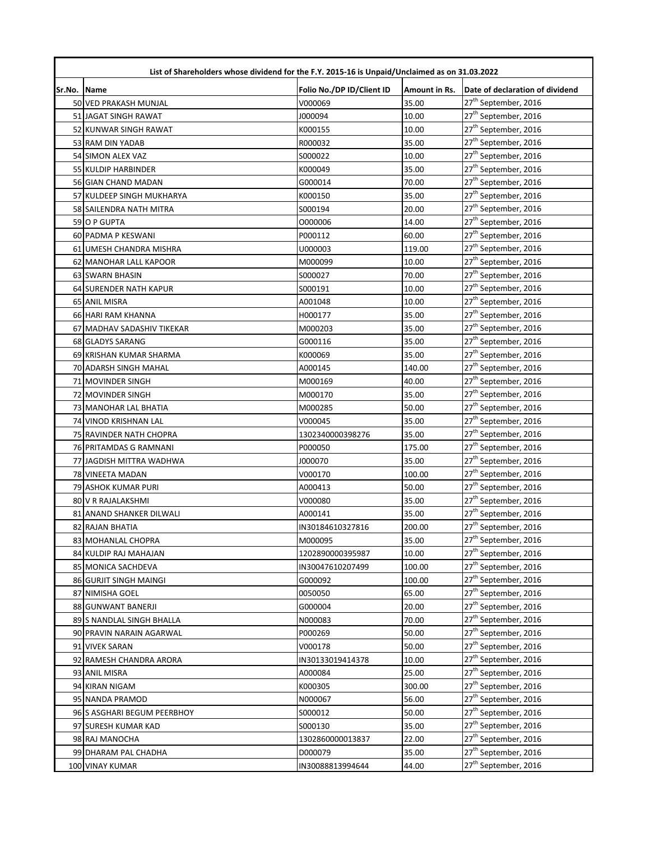|             | List of Shareholders whose dividend for the F.Y. 2015-16 is Unpaid/Unclaimed as on 31.03.2022 |                           |               |                                  |
|-------------|-----------------------------------------------------------------------------------------------|---------------------------|---------------|----------------------------------|
| Sr.No. Name |                                                                                               | Folio No./DP ID/Client ID | Amount in Rs. | Date of declaration of dividend  |
|             | 50 VED PRAKASH MUNJAL                                                                         | V000069                   | 35.00         | 27 <sup>th</sup> September, 2016 |
|             | 51 JAGAT SINGH RAWAT                                                                          | J000094                   | 10.00         | 27 <sup>th</sup> September, 2016 |
|             | 52 KUNWAR SINGH RAWAT                                                                         | K000155                   | 10.00         | 27 <sup>th</sup> September, 2016 |
|             | 53 RAM DIN YADAB                                                                              | R000032                   | 35.00         | 27 <sup>th</sup> September, 2016 |
|             | 54 SIMON ALEX VAZ                                                                             | S000022                   | 10.00         | 27 <sup>th</sup> September, 2016 |
|             | 55 KULDIP HARBINDER                                                                           | K000049                   | 35.00         | 27 <sup>th</sup> September, 2016 |
|             | 56 GIAN CHAND MADAN                                                                           | G000014                   | 70.00         | 27 <sup>th</sup> September, 2016 |
|             | 57 KULDEEP SINGH MUKHARYA                                                                     | K000150                   | 35.00         | 27 <sup>th</sup> September, 2016 |
|             | 58 SAILENDRA NATH MITRA                                                                       | S000194                   | 20.00         | $27^{\text{th}}$ September, 2016 |
|             | 59 O P GUPTA                                                                                  | 0000006                   | 14.00         | 27 <sup>th</sup> September, 2016 |
|             | 60 PADMA P KESWANI                                                                            | P000112                   | 60.00         | 27 <sup>th</sup> September, 2016 |
|             | 61 UMESH CHANDRA MISHRA                                                                       | U000003                   | 119.00        | 27 <sup>th</sup> September, 2016 |
|             | 62 MANOHAR LALL KAPOOR                                                                        | M000099                   | 10.00         | 27 <sup>th</sup> September, 2016 |
|             | 63 SWARN BHASIN                                                                               | S000027                   | 70.00         | 27 <sup>th</sup> September, 2016 |
|             | 64 SURENDER NATH KAPUR                                                                        | S000191                   | 10.00         | 27 <sup>th</sup> September, 2016 |
|             | <b>65 ANIL MISRA</b>                                                                          | A001048                   | 10.00         | 27 <sup>th</sup> September, 2016 |
|             | 66 HARI RAM KHANNA                                                                            | H000177                   | 35.00         | 27 <sup>th</sup> September, 2016 |
|             | 67 MADHAV SADASHIV TIKEKAR                                                                    | M000203                   | 35.00         | 27 <sup>th</sup> September, 2016 |
|             | 68 GLADYS SARANG                                                                              | G000116                   | 35.00         | 27 <sup>th</sup> September, 2016 |
|             | 69 KRISHAN KUMAR SHARMA                                                                       | K000069                   | 35.00         | 27 <sup>th</sup> September, 2016 |
|             | 70 ADARSH SINGH MAHAL                                                                         | A000145                   | 140.00        | 27 <sup>th</sup> September, 2016 |
|             | 71 MOVINDER SINGH                                                                             | M000169                   | 40.00         | 27 <sup>th</sup> September, 2016 |
|             | 72 MOVINDER SINGH                                                                             | M000170                   | 35.00         | $27^{\text{th}}$ September, 2016 |
|             | 73 MANOHAR LAL BHATIA                                                                         | M000285                   | 50.00         | 27 <sup>th</sup> September, 2016 |
|             | 74 VINOD KRISHNAN LAL                                                                         | V000045                   | 35.00         | 27 <sup>th</sup> September, 2016 |
|             | 75 RAVINDER NATH CHOPRA                                                                       | 1302340000398276          | 35.00         | 27 <sup>th</sup> September, 2016 |
|             | 76 PRITAMDAS G RAMNANI                                                                        | P000050                   | 175.00        | 27 <sup>th</sup> September, 2016 |
|             | 77 JAGDISH MITTRA WADHWA                                                                      | J000070                   | 35.00         | 27 <sup>th</sup> September, 2016 |
|             | 78 VINEETA MADAN                                                                              | V000170                   | 100.00        | 27 <sup>th</sup> September, 2016 |
|             | 79 ASHOK KUMAR PURI                                                                           | A000413                   | 50.00         | 27 <sup>th</sup> September, 2016 |
|             | 80 V R RAJALAKSHMI                                                                            | V000080                   | 35.00         | 27 <sup>th</sup> September, 2016 |
|             | 81 ANAND SHANKER DILWALI                                                                      | A000141                   | 35.00         | 27 <sup>th</sup> September, 2016 |
|             | 82 RAJAN BHATIA                                                                               | IN30184610327816          | 200.00        | 27 <sup>th</sup> September, 2016 |
|             | 83 MOHANLAL CHOPRA                                                                            | M000095                   | 35.00         | 27 <sup>th</sup> September, 2016 |
|             | 84 KULDIP RAJ MAHAJAN                                                                         | 1202890000395987          | 10.00         | 27 <sup>th</sup> September, 2016 |
|             | 85 MONICA SACHDEVA                                                                            | IN30047610207499          | 100.00        | 27 <sup>th</sup> September, 2016 |
|             | 86 GURJIT SINGH MAINGI                                                                        | G000092                   | 100.00        | 27 <sup>th</sup> September, 2016 |
|             | 87 NIMISHA GOEL                                                                               | 0050050                   | 65.00         | 27 <sup>th</sup> September, 2016 |
|             | 88 GUNWANT BANERJI                                                                            | G000004                   | 20.00         | 27 <sup>th</sup> September, 2016 |
|             | 89 S NANDLAL SINGH BHALLA                                                                     | N000083                   | 70.00         | 27 <sup>th</sup> September, 2016 |
|             | 90 PRAVIN NARAIN AGARWAL                                                                      | P000269                   | 50.00         | 27 <sup>th</sup> September, 2016 |
|             | 91 VIVEK SARAN                                                                                | V000178                   | 50.00         | 27 <sup>th</sup> September, 2016 |
|             | 92 RAMESH CHANDRA ARORA                                                                       | IN30133019414378          | 10.00         | 27 <sup>th</sup> September, 2016 |
|             | 93 ANIL MISRA                                                                                 | A000084                   | 25.00         | 27 <sup>th</sup> September, 2016 |
|             | 94 KIRAN NIGAM                                                                                | K000305                   | 300.00        | 27 <sup>th</sup> September, 2016 |
|             | 95 NANDA PRAMOD                                                                               | N000067                   | 56.00         | 27 <sup>th</sup> September, 2016 |
|             | 96 S ASGHARI BEGUM PEERBHOY                                                                   | S000012                   | 50.00         | 27 <sup>th</sup> September, 2016 |
|             | 97 SURESH KUMAR KAD                                                                           | S000130                   | 35.00         | 27 <sup>th</sup> September, 2016 |
|             | 98 RAJ MANOCHA                                                                                | 1302860000013837          | 22.00         | 27 <sup>th</sup> September, 2016 |
|             | 99 DHARAM PAL CHADHA                                                                          | D000079                   | 35.00         | 27 <sup>th</sup> September, 2016 |
|             | 100 VINAY KUMAR                                                                               | IN30088813994644          | 44.00         | 27 <sup>th</sup> September, 2016 |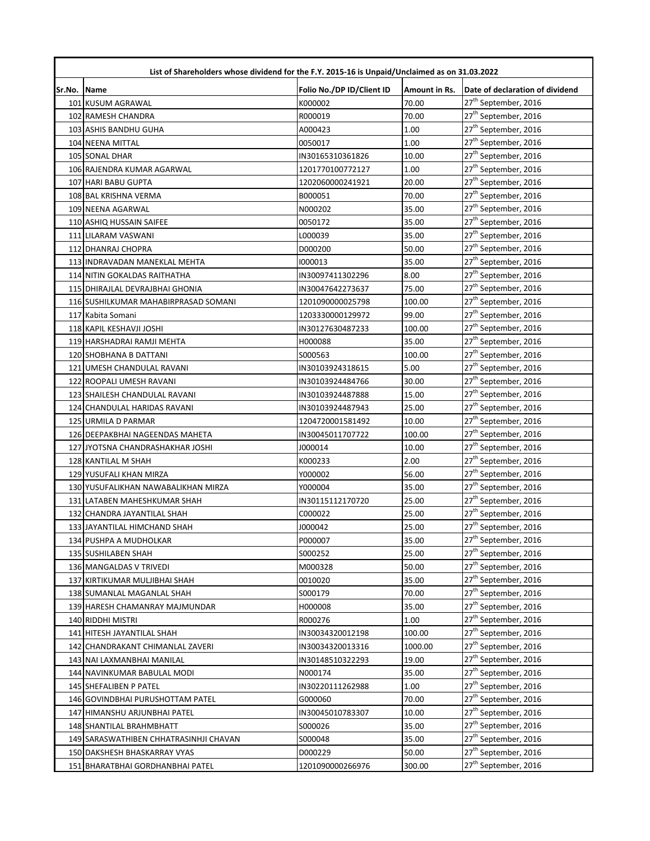|        | List of Shareholders whose dividend for the F.Y. 2015-16 is Unpaid/Unclaimed as on 31.03.2022 |                           |               |                                                                      |  |
|--------|-----------------------------------------------------------------------------------------------|---------------------------|---------------|----------------------------------------------------------------------|--|
| Sr.No. | <b>Name</b>                                                                                   | Folio No./DP ID/Client ID | Amount in Rs. | Date of declaration of dividend                                      |  |
|        | 101 KUSUM AGRAWAL                                                                             | K000002                   | 70.00         | 27 <sup>th</sup> September, 2016                                     |  |
|        | 102 RAMESH CHANDRA                                                                            | R000019                   | 70.00         | 27 <sup>th</sup> September, 2016                                     |  |
|        | 103 ASHIS BANDHU GUHA                                                                         | A000423                   | 1.00          | 27 <sup>th</sup> September, 2016                                     |  |
|        | 104 NEENA MITTAL                                                                              | 0050017                   | 1.00          | 27 <sup>th</sup> September, 2016                                     |  |
|        | 105 SONAL DHAR                                                                                | IN30165310361826          | 10.00         | 27 <sup>th</sup> September, 2016                                     |  |
|        | 106 RAJENDRA KUMAR AGARWAL                                                                    | 1201770100772127          | 1.00          | 27 <sup>th</sup> September, 2016                                     |  |
|        | 107 HARI BABU GUPTA                                                                           | 1202060000241921          | 20.00         | 27 <sup>th</sup> September, 2016                                     |  |
|        | 108 BAL KRISHNA VERMA                                                                         | B000051                   | 70.00         | 27 <sup>th</sup> September, 2016                                     |  |
|        | 109 NEENA AGARWAL                                                                             | N000202                   | 35.00         | 27 <sup>th</sup> September, 2016                                     |  |
|        | 110 ASHIQ HUSSAIN SAIFEE                                                                      | 0050172                   | 35.00         | 27 <sup>th</sup> September, 2016                                     |  |
|        | 111 LILARAM VASWANI                                                                           | L000039                   | 35.00         | 27 <sup>th</sup> September, 2016                                     |  |
|        | 112 DHANRAJ CHOPRA                                                                            | D000200                   | 50.00         | 27 <sup>th</sup> September, 2016                                     |  |
|        | 113 INDRAVADAN MANEKLAL MEHTA                                                                 | 1000013                   | 35.00         | 27 <sup>th</sup> September, 2016                                     |  |
|        | 114 NITIN GOKALDAS RAITHATHA                                                                  | IN30097411302296          | 8.00          | 27 <sup>th</sup> September, 2016                                     |  |
|        | 115 DHIRAJLAL DEVRAJBHAI GHONIA                                                               | IN30047642273637          | 75.00         | 27 <sup>th</sup> September, 2016                                     |  |
|        | 116 SUSHILKUMAR MAHABIRPRASAD SOMANI                                                          | 1201090000025798          | 100.00        | 27 <sup>th</sup> September, 2016                                     |  |
|        | 117 Kabita Somani                                                                             | 1203330000129972          | 99.00         | 27 <sup>th</sup> September, 2016                                     |  |
|        | 118 KAPIL KESHAVJI JOSHI                                                                      | IN30127630487233          | 100.00        | 27 <sup>th</sup> September, 2016                                     |  |
|        | 119 HARSHADRAI RAMJI MEHTA                                                                    | H000088                   | 35.00         | 27 <sup>th</sup> September, 2016                                     |  |
|        | 120 SHOBHANA B DATTANI                                                                        | S000563                   | 100.00        | 27 <sup>th</sup> September, 2016                                     |  |
|        | 121 UMESH CHANDULAL RAVANI                                                                    | IN30103924318615          | 5.00          | 27 <sup>th</sup> September, 2016                                     |  |
|        | 122 ROOPALI UMESH RAVANI                                                                      | IN30103924484766          | 30.00         | 27 <sup>th</sup> September, 2016                                     |  |
|        | 123 SHAILESH CHANDULAL RAVANI                                                                 | IN30103924487888          | 15.00         | 27 <sup>th</sup> September, 2016                                     |  |
|        | 124 CHANDULAL HARIDAS RAVANI                                                                  | IN30103924487943          | 25.00         | 27 <sup>th</sup> September, 2016                                     |  |
|        | 125 URMILA D PARMAR                                                                           | 1204720001581492          | 10.00         | 27 <sup>th</sup> September, 2016                                     |  |
|        | 126 DEEPAKBHAI NAGEENDAS MAHETA                                                               | IN30045011707722          | 100.00        | 27 <sup>th</sup> September, 2016                                     |  |
|        | 127 JYOTSNA CHANDRASHAKHAR JOSHI                                                              | J000014                   | 10.00         | 27 <sup>th</sup> September, 2016                                     |  |
|        | 128 KANTILAL M SHAH                                                                           | K000233                   | 2.00          | 27 <sup>th</sup> September, 2016                                     |  |
|        | 129 YUSUFALI KHAN MIRZA                                                                       | Y000002                   | 56.00         | 27 <sup>th</sup> September, 2016                                     |  |
|        | 130 YUSUFALIKHAN NAWABALIKHAN MIRZA                                                           | Y000004                   | 35.00         | 27 <sup>th</sup> September, 2016                                     |  |
|        | 131 LATABEN MAHESHKUMAR SHAH                                                                  | IN30115112170720          | 25.00         | 27 <sup>th</sup> September, 2016                                     |  |
|        | 132 CHANDRA JAYANTILAL SHAH                                                                   | C000022                   | 25.00         | 27 <sup>th</sup> September, 2016                                     |  |
|        | 133 JAYANTILAL HIMCHAND SHAH                                                                  | J000042                   | 25.00         | 27 <sup>th</sup> September, 2016                                     |  |
|        | 134 PUSHPA A MUDHOLKAR                                                                        | P000007                   | 35.00         | 27 <sup>th</sup> September, 2016                                     |  |
|        | 135 SUSHILABEN SHAH                                                                           | S000252                   | 25.00         | 27 <sup>th</sup> September, 2016                                     |  |
|        | 136 MANGALDAS V TRIVEDI                                                                       | M000328                   | 50.00         | 27 <sup>th</sup> September, 2016                                     |  |
|        | 137 KIRTIKUMAR MULJIBHAI SHAH                                                                 | 0010020                   | 35.00         | 27 <sup>th</sup> September, 2016                                     |  |
|        | 138 SUMANLAL MAGANLAL SHAH                                                                    | S000179                   | 70.00         | 27 <sup>th</sup> September, 2016                                     |  |
|        | 139 HARESH CHAMANRAY MAJMUNDAR                                                                | H000008                   | 35.00         | 27 <sup>th</sup> September, 2016                                     |  |
|        | 140 RIDDHI MISTRI                                                                             | R000276                   | 1.00          | 27 <sup>th</sup> September, 2016                                     |  |
|        |                                                                                               |                           | 100.00        | 27 <sup>th</sup> September, 2016                                     |  |
|        | 141 HITESH JAYANTILAL SHAH                                                                    | IN30034320012198          | 1000.00       | 27 <sup>th</sup> September, 2016                                     |  |
|        | 142 CHANDRAKANT CHIMANLAL ZAVERI                                                              | IN30034320013316          |               | 27 <sup>th</sup> September, 2016                                     |  |
|        | 143 NAI LAXMANBHAI MANILAL                                                                    | IN30148510322293          | 19.00         | 27 <sup>th</sup> September, 2016                                     |  |
|        | 144 NAVINKUMAR BABULAL MODI                                                                   | N000174                   | 35.00         | 27 <sup>th</sup> September, 2016                                     |  |
|        | 145 SHEFALIBEN P PATEL                                                                        | IN30220111262988          | 1.00          | 27 <sup>th</sup> September, 2016                                     |  |
|        | 146 GOVINDBHAI PURUSHOTTAM PATEL                                                              | G000060                   | 70.00         |                                                                      |  |
|        | 147 HIMANSHU ARJUNBHAI PATEL                                                                  | IN30045010783307          | 10.00         | 27 <sup>th</sup> September, 2016<br>27 <sup>th</sup> September, 2016 |  |
|        | 148 SHANTILAL BRAHMBHATT                                                                      | S000026                   | 35.00         | 27 <sup>th</sup> September, 2016                                     |  |
|        | 149 SARASWATHIBEN CHHATRASINHJI CHAVAN                                                        | S000048                   | 35.00         |                                                                      |  |
|        | 150 DAKSHESH BHASKARRAY VYAS                                                                  | D000229                   | 50.00         | 27 <sup>th</sup> September, 2016                                     |  |
|        | 151 BHARATBHAI GORDHANBHAI PATEL                                                              | 1201090000266976          | 300.00        | 27 <sup>th</sup> September, 2016                                     |  |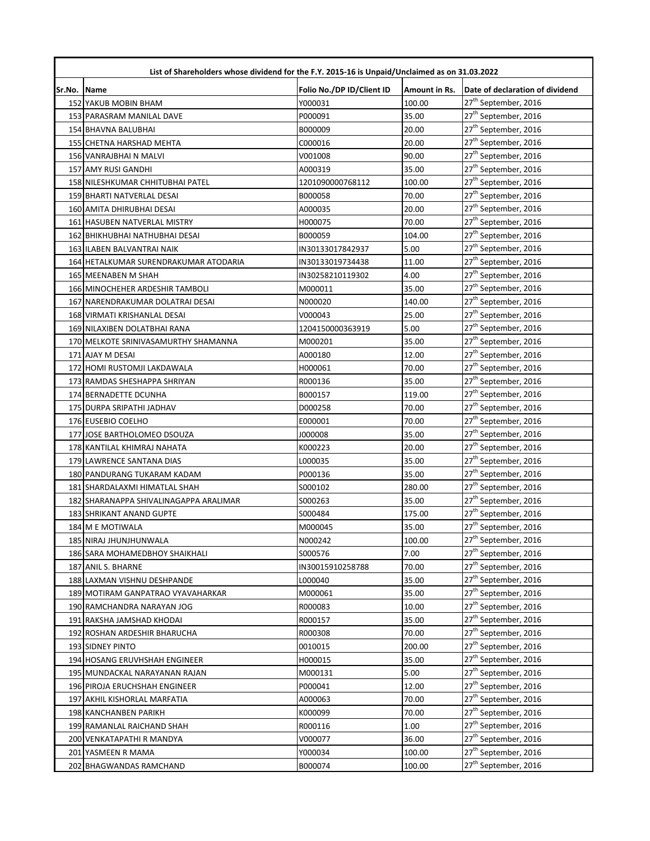| List of Shareholders whose dividend for the F.Y. 2015-16 is Unpaid/Unclaimed as on 31.03.2022 |                                        |                           |               |                                  |
|-----------------------------------------------------------------------------------------------|----------------------------------------|---------------------------|---------------|----------------------------------|
| Sr.No.                                                                                        | Name                                   | Folio No./DP ID/Client ID | Amount in Rs. | Date of declaration of dividend  |
|                                                                                               | <b>152 YAKUB MOBIN BHAM</b>            | Y000031                   | 100.00        | 27 <sup>th</sup> September, 2016 |
|                                                                                               | 153 PARASRAM MANILAL DAVE              | P000091                   | 35.00         | 27 <sup>th</sup> September, 2016 |
|                                                                                               | 154 BHAVNA BALUBHAI                    | B000009                   | 20.00         | 27 <sup>th</sup> September, 2016 |
|                                                                                               | 155 CHETNA HARSHAD MEHTA               | C000016                   | 20.00         | 27 <sup>th</sup> September, 2016 |
|                                                                                               | 156 VANRAJBHAI N MALVI                 | V001008                   | 90.00         | 27 <sup>th</sup> September, 2016 |
|                                                                                               | 157 AMY RUSI GANDHI                    | A000319                   | 35.00         | 27 <sup>th</sup> September, 2016 |
|                                                                                               | 158 NILESHKUMAR CHHITUBHAI PATEL       | 1201090000768112          | 100.00        | 27 <sup>th</sup> September, 2016 |
|                                                                                               | 159 BHARTI NATVERLAL DESAI             | B000058                   | 70.00         | 27 <sup>th</sup> September, 2016 |
|                                                                                               | 160 AMITA DHIRUBHAI DESAI              | A000035                   | 20.00         | 27 <sup>th</sup> September, 2016 |
|                                                                                               | 161 HASUBEN NATVERLAL MISTRY           | H000075                   | 70.00         | 27 <sup>th</sup> September, 2016 |
|                                                                                               | 162 BHIKHUBHAI NATHUBHAI DESAI         | B000059                   | 104.00        | 27 <sup>th</sup> September, 2016 |
|                                                                                               | 163 ILABEN BALVANTRAI NAIK             | IN30133017842937          | 5.00          | 27 <sup>th</sup> September, 2016 |
|                                                                                               | 164 HETALKUMAR SURENDRAKUMAR ATODARIA  | IN30133019734438          | 11.00         | 27 <sup>th</sup> September, 2016 |
|                                                                                               | 165 MEENABEN M SHAH                    | IN30258210119302          | 4.00          | 27 <sup>th</sup> September, 2016 |
|                                                                                               | 166 MINOCHEHER ARDESHIR TAMBOLI        | M000011                   | 35.00         | 27 <sup>th</sup> September, 2016 |
|                                                                                               | 167 NARENDRAKUMAR DOLATRAI DESAI       | N000020                   | 140.00        | 27 <sup>th</sup> September, 2016 |
|                                                                                               | 168 VIRMATI KRISHANLAL DESAI           | V000043                   | 25.00         | 27 <sup>th</sup> September, 2016 |
|                                                                                               | 169 NILAXIBEN DOLATBHAI RANA           | 1204150000363919          | 5.00          | 27 <sup>th</sup> September, 2016 |
|                                                                                               | 170 MELKOTE SRINIVASAMURTHY SHAMANNA   | M000201                   | 35.00         | 27 <sup>th</sup> September, 2016 |
|                                                                                               | 171 AJAY M DESAI                       | A000180                   | 12.00         | 27 <sup>th</sup> September, 2016 |
|                                                                                               | 172 HOMI RUSTOMJI LAKDAWALA            | H000061                   | 70.00         | 27 <sup>th</sup> September, 2016 |
|                                                                                               | 173 RAMDAS SHESHAPPA SHRIYAN           | R000136                   | 35.00         | 27 <sup>th</sup> September, 2016 |
|                                                                                               | 174 BERNADETTE DCUNHA                  | B000157                   | 119.00        | 27 <sup>th</sup> September, 2016 |
|                                                                                               | 175 DURPA SRIPATHI JADHAV              | D000258                   | 70.00         | 27 <sup>th</sup> September, 2016 |
|                                                                                               | 176 EUSEBIO COELHO                     | E000001                   | 70.00         | 27 <sup>th</sup> September, 2016 |
|                                                                                               | 177 JOSE BARTHOLOMEO DSOUZA            | 800000                    | 35.00         | 27 <sup>th</sup> September, 2016 |
|                                                                                               | 178 KANTILAL KHIMRAJ NAHATA            | K000223                   | 20.00         | 27 <sup>th</sup> September, 2016 |
|                                                                                               | 179 LAWRENCE SANTANA DIAS              | L000035                   | 35.00         | 27 <sup>th</sup> September, 2016 |
|                                                                                               | 180 PANDURANG TUKARAM KADAM            | P000136                   | 35.00         | 27 <sup>th</sup> September, 2016 |
|                                                                                               | 181 SHARDALAXMI HIMATLAL SHAH          | S000102                   | 280.00        | 27 <sup>th</sup> September, 2016 |
|                                                                                               | 182 SHARANAPPA SHIVALINAGAPPA ARALIMAR | S000263                   | 35.00         | 27 <sup>th</sup> September, 2016 |
|                                                                                               | <b>183 SHRIKANT ANAND GUPTE</b>        | S000484                   | 175.00        | 27 <sup>th</sup> September, 2016 |
|                                                                                               | 184 M E MOTIWALA                       | M000045                   | 35.00         | 27 <sup>th</sup> September, 2016 |
|                                                                                               | 185 NIRAJ JHUNJHUNWALA                 | N000242                   | 100.00        | 27 <sup>th</sup> September, 2016 |
|                                                                                               | 186 SARA MOHAMEDBHOY SHAIKHALI         | S000576                   | 7.00          | 27 <sup>th</sup> September, 2016 |
|                                                                                               | 187 ANIL S. BHARNE                     | IN30015910258788          | 70.00         | 27 <sup>th</sup> September, 2016 |
|                                                                                               | 188 LAXMAN VISHNU DESHPANDE            | L000040                   | 35.00         | 27 <sup>th</sup> September, 2016 |
|                                                                                               | 189 MOTIRAM GANPATRAO VYAVAHARKAR      | M000061                   | 35.00         | 27 <sup>th</sup> September, 2016 |
|                                                                                               | 190 RAMCHANDRA NARAYAN JOG             | R000083                   | 10.00         | 27 <sup>th</sup> September, 2016 |
|                                                                                               | 191 RAKSHA JAMSHAD KHODAI              | R000157                   | 35.00         | 27 <sup>th</sup> September, 2016 |
|                                                                                               | 192 ROSHAN ARDESHIR BHARUCHA           | R000308                   | 70.00         | 27 <sup>th</sup> September, 2016 |
|                                                                                               | 193 SIDNEY PINTO                       | 0010015                   | 200.00        | 27 <sup>th</sup> September, 2016 |
|                                                                                               | 194 HOSANG ERUVHSHAH ENGINEER          | H000015                   | 35.00         | 27 <sup>th</sup> September, 2016 |
|                                                                                               | 195 MUNDACKAL NARAYANAN RAJAN          | M000131                   | 5.00          | 27 <sup>th</sup> September, 2016 |
|                                                                                               | 196 PIROJA ERUCHSHAH ENGINEER          | P000041                   | 12.00         | 27 <sup>th</sup> September, 2016 |
|                                                                                               | 197 AKHIL KISHORLAL MARFATIA           | A000063                   | 70.00         | 27 <sup>th</sup> September, 2016 |
|                                                                                               | 198 KANCHANBEN PARIKH                  | K000099                   | 70.00         | 27 <sup>th</sup> September, 2016 |
|                                                                                               | 199 RAMANLAL RAICHAND SHAH             | R000116                   | 1.00          | 27 <sup>th</sup> September, 2016 |
|                                                                                               | 200 VENKATAPATHI R MANDYA              | V000077                   | 36.00         | 27 <sup>th</sup> September, 2016 |
|                                                                                               | 201 YASMEEN R MAMA                     | Y000034                   | 100.00        | 27 <sup>th</sup> September, 2016 |
|                                                                                               | 202 BHAGWANDAS RAMCHAND                | B000074                   | 100.00        | 27 <sup>th</sup> September, 2016 |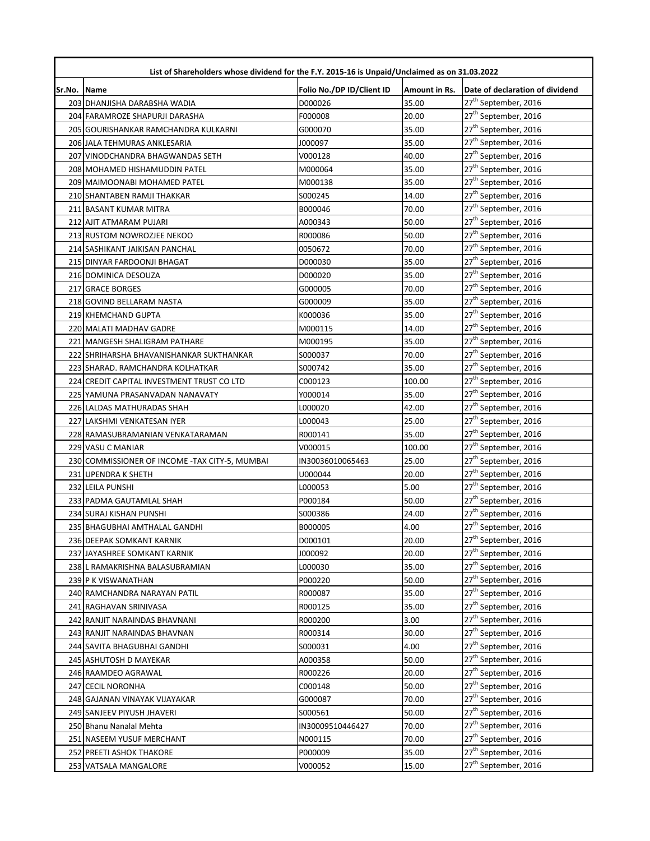|        | List of Shareholders whose dividend for the F.Y. 2015-16 is Unpaid/Unclaimed as on 31.03.2022 |                           |               |                                  |  |
|--------|-----------------------------------------------------------------------------------------------|---------------------------|---------------|----------------------------------|--|
| Sr.No. | <b>Name</b>                                                                                   | Folio No./DP ID/Client ID | Amount in Rs. | Date of declaration of dividend  |  |
|        | 203 DHANJISHA DARABSHA WADIA                                                                  | D000026                   | 35.00         | 27 <sup>th</sup> September, 2016 |  |
|        | 204 FARAMROZE SHAPURJI DARASHA                                                                | F000008                   | 20.00         | 27 <sup>th</sup> September, 2016 |  |
|        | 205 GOURISHANKAR RAMCHANDRA KULKARNI                                                          | G000070                   | 35.00         | 27 <sup>th</sup> September, 2016 |  |
|        | 206 JALA TEHMURAS ANKLESARIA                                                                  | J000097                   | 35.00         | 27 <sup>th</sup> September, 2016 |  |
|        | 207 VINODCHANDRA BHAGWANDAS SETH                                                              | V000128                   | 40.00         | 27 <sup>th</sup> September, 2016 |  |
|        | 208 MOHAMED HISHAMUDDIN PATEL                                                                 | M000064                   | 35.00         | 27 <sup>th</sup> September, 2016 |  |
|        | 209 MAIMOONABI MOHAMED PATEL                                                                  | M000138                   | 35.00         | 27 <sup>th</sup> September, 2016 |  |
|        | 210 SHANTABEN RAMJI THAKKAR                                                                   | S000245                   | 14.00         | 27 <sup>th</sup> September, 2016 |  |
|        | 211 BASANT KUMAR MITRA                                                                        | B000046                   | 70.00         | 27 <sup>th</sup> September, 2016 |  |
|        | 212 AJIT ATMARAM PUJARI                                                                       | A000343                   | 50.00         | 27 <sup>th</sup> September, 2016 |  |
|        | 213 RUSTOM NOWROZJEE NEKOO                                                                    | R000086                   | 50.00         | 27 <sup>th</sup> September, 2016 |  |
|        | 214 SASHIKANT JAIKISAN PANCHAL                                                                | 0050672                   | 70.00         | 27 <sup>th</sup> September, 2016 |  |
|        | 215 DINYAR FARDOONJI BHAGAT                                                                   | D000030                   | 35.00         | 27 <sup>th</sup> September, 2016 |  |
|        | 216 DOMINICA DESOUZA                                                                          | D000020                   | 35.00         | 27 <sup>th</sup> September, 2016 |  |
|        | 217 GRACE BORGES                                                                              | G000005                   | 70.00         | 27 <sup>th</sup> September, 2016 |  |
|        | 218 GOVIND BELLARAM NASTA                                                                     | G000009                   | 35.00         | 27 <sup>th</sup> September, 2016 |  |
|        | 219 KHEMCHAND GUPTA                                                                           | K000036                   | 35.00         | 27 <sup>th</sup> September, 2016 |  |
|        | 220 MALATI MADHAV GADRE                                                                       | M000115                   | 14.00         | 27 <sup>th</sup> September, 2016 |  |
|        | 221 MANGESH SHALIGRAM PATHARE                                                                 | M000195                   | 35.00         | 27 <sup>th</sup> September, 2016 |  |
|        | 222 SHRIHARSHA BHAVANISHANKAR SUKTHANKAR                                                      | S000037                   | 70.00         | 27 <sup>th</sup> September, 2016 |  |
|        | 223 SHARAD. RAMCHANDRA KOLHATKAR                                                              | S000742                   | 35.00         | 27 <sup>th</sup> September, 2016 |  |
|        | 224 CREDIT CAPITAL INVESTMENT TRUST CO LTD                                                    | C000123                   | 100.00        | 27 <sup>th</sup> September, 2016 |  |
|        | 225 YAMUNA PRASANVADAN NANAVATY                                                               | Y000014                   | 35.00         | 27 <sup>th</sup> September, 2016 |  |
|        | 226 LALDAS MATHURADAS SHAH                                                                    | L000020                   | 42.00         | 27 <sup>th</sup> September, 2016 |  |
|        | 227 LAKSHMI VENKATESAN IYER                                                                   | L000043                   | 25.00         | 27 <sup>th</sup> September, 2016 |  |
|        | 228 RAMASUBRAMANIAN VENKATARAMAN                                                              | R000141                   | 35.00         | 27 <sup>th</sup> September, 2016 |  |
|        | 229 VASU C MANIAR                                                                             | V000015                   | 100.00        | 27 <sup>th</sup> September, 2016 |  |
|        | 230 COMMISSIONER OF INCOME - TAX CITY-5, MUMBAI                                               | IN30036010065463          | 25.00         | 27 <sup>th</sup> September, 2016 |  |
|        | 231 UPENDRA K SHETH                                                                           | U000044                   | 20.00         | 27 <sup>th</sup> September, 2016 |  |
|        | 232 LEILA PUNSHI                                                                              | L000053                   | 5.00          | 27 <sup>th</sup> September, 2016 |  |
|        | 233 PADMA GAUTAMLAL SHAH                                                                      | P000184                   | 50.00         | 27 <sup>th</sup> September, 2016 |  |
|        | 234 SURAJ KISHAN PUNSHI                                                                       | S000386                   | 24.00         | 27 <sup>th</sup> September, 2016 |  |
|        | 235 BHAGUBHAI AMTHALAL GANDHI                                                                 | B000005                   | 4.00          | 27 <sup>th</sup> September, 2016 |  |
|        | 236 DEEPAK SOMKANT KARNIK                                                                     | D000101                   | 20.00         | 27 <sup>th</sup> September, 2016 |  |
|        | 237 JAYASHREE SOMKANT KARNIK                                                                  | J000092                   | 20.00         | 27 <sup>th</sup> September, 2016 |  |
|        | 238 L RAMAKRISHNA BALASUBRAMIAN                                                               | L000030                   | 35.00         | 27 <sup>th</sup> September, 2016 |  |
|        | 239 P K VISWANATHAN                                                                           | P000220                   | 50.00         | 27 <sup>th</sup> September, 2016 |  |
|        | 240 RAMCHANDRA NARAYAN PATIL                                                                  | R000087                   | 35.00         | 27 <sup>th</sup> September, 2016 |  |
|        | 241 RAGHAVAN SRINIVASA                                                                        | R000125                   | 35.00         | 27 <sup>th</sup> September, 2016 |  |
|        | 242 RANJIT NARAINDAS BHAVNANI                                                                 | R000200                   | 3.00          | 27 <sup>th</sup> September, 2016 |  |
|        | 243 RANJIT NARAINDAS BHAVNAN                                                                  | R000314                   | 30.00         | 27 <sup>th</sup> September, 2016 |  |
|        | 244 SAVITA BHAGUBHAI GANDHI                                                                   | S000031                   | 4.00          | 27 <sup>th</sup> September, 2016 |  |
|        | 245 ASHUTOSH D MAYEKAR                                                                        | A000358                   | 50.00         | 27 <sup>th</sup> September, 2016 |  |
|        | 246 RAAMDEO AGRAWAL                                                                           | R000226                   | 20.00         | 27 <sup>th</sup> September, 2016 |  |
|        | 247 CECIL NORONHA                                                                             | C000148                   | 50.00         | 27 <sup>th</sup> September, 2016 |  |
|        | 248 GAJANAN VINAYAK VIJAYAKAR                                                                 | G000087                   | 70.00         | 27 <sup>th</sup> September, 2016 |  |
|        | 249 SANJEEV PIYUSH JHAVERI                                                                    | S000561                   | 50.00         | 27 <sup>th</sup> September, 2016 |  |
|        | 250 Bhanu Nanalal Mehta                                                                       | IN30009510446427          | 70.00         | 27 <sup>th</sup> September, 2016 |  |
|        | 251 NASEEM YUSUF MERCHANT                                                                     | N000115                   | 70.00         | 27 <sup>th</sup> September, 2016 |  |
|        | 252 PREETI ASHOK THAKORE                                                                      | P000009                   | 35.00         | 27 <sup>th</sup> September, 2016 |  |
|        | 253 VATSALA MANGALORE                                                                         | V000052                   | 15.00         | 27 <sup>th</sup> September, 2016 |  |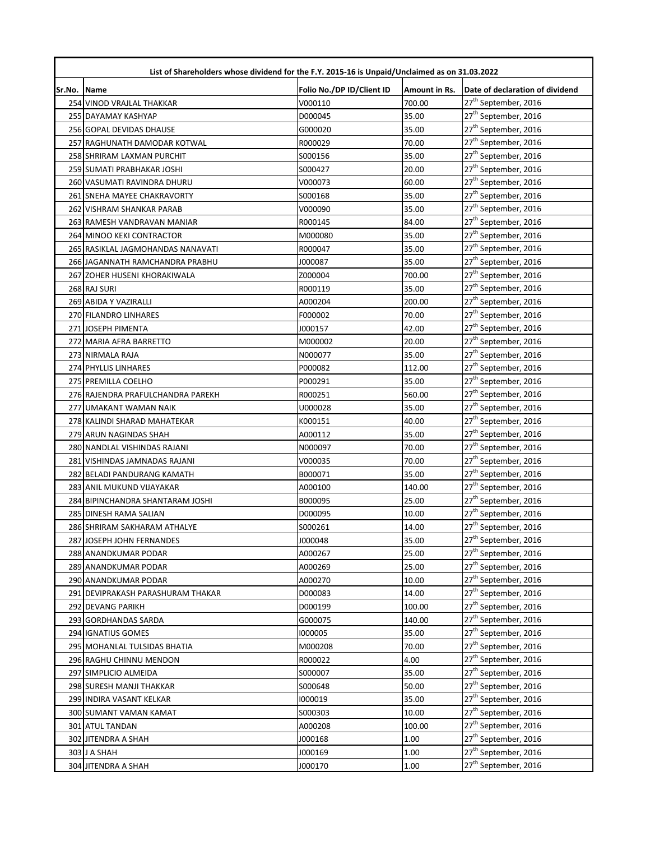|             | List of Shareholders whose dividend for the F.Y. 2015-16 is Unpaid/Unclaimed as on 31.03.2022 |                           |               |                                  |  |
|-------------|-----------------------------------------------------------------------------------------------|---------------------------|---------------|----------------------------------|--|
| Sr.No. Name |                                                                                               | Folio No./DP ID/Client ID | Amount in Rs. | Date of declaration of dividend  |  |
|             | 254 VINOD VRAJLAL THAKKAR                                                                     | V000110                   | 700.00        | 27 <sup>th</sup> September, 2016 |  |
|             | 255 DAYAMAY KASHYAP                                                                           | D000045                   | 35.00         | 27 <sup>th</sup> September, 2016 |  |
|             | 256 GOPAL DEVIDAS DHAUSE                                                                      | G000020                   | 35.00         | 27 <sup>th</sup> September, 2016 |  |
|             | 257 RAGHUNATH DAMODAR KOTWAL                                                                  | R000029                   | 70.00         | 27 <sup>th</sup> September, 2016 |  |
|             | 258 SHRIRAM LAXMAN PURCHIT                                                                    | S000156                   | 35.00         | 27 <sup>th</sup> September, 2016 |  |
|             | 259 SUMATI PRABHAKAR JOSHI                                                                    | S000427                   | 20.00         | 27 <sup>th</sup> September, 2016 |  |
|             | 260 VASUMATI RAVINDRA DHURU                                                                   | V000073                   | 60.00         | 27 <sup>th</sup> September, 2016 |  |
|             | 261 SNEHA MAYEE CHAKRAVORTY                                                                   | S000168                   | 35.00         | 27 <sup>th</sup> September, 2016 |  |
|             | 262 VISHRAM SHANKAR PARAB                                                                     | V000090                   | 35.00         | 27 <sup>th</sup> September, 2016 |  |
|             | 263 RAMESH VANDRAVAN MANIAR                                                                   | R000145                   | 84.00         | 27 <sup>th</sup> September, 2016 |  |
|             | 264 MINOO KEKI CONTRACTOR                                                                     | M000080                   | 35.00         | 27 <sup>th</sup> September, 2016 |  |
|             | 265 RASIKLAL JAGMOHANDAS NANAVATI                                                             | R000047                   | 35.00         | 27 <sup>th</sup> September, 2016 |  |
|             | 266 JAGANNATH RAMCHANDRA PRABHU                                                               | J000087                   | 35.00         | 27 <sup>th</sup> September, 2016 |  |
|             | 267 ZOHER HUSENI KHORAKIWALA                                                                  | Z000004                   | 700.00        | 27 <sup>th</sup> September, 2016 |  |
|             | 268 RAJ SURI                                                                                  | R000119                   | 35.00         | 27 <sup>th</sup> September, 2016 |  |
|             | 269 ABIDA Y VAZIRALLI                                                                         | A000204                   | 200.00        | 27 <sup>th</sup> September, 2016 |  |
|             | 270 FILANDRO LINHARES                                                                         | F000002                   | 70.00         | 27 <sup>th</sup> September, 2016 |  |
|             | 271 JOSEPH PIMENTA                                                                            | J000157                   | 42.00         | 27 <sup>th</sup> September, 2016 |  |
|             | 272 MARIA AFRA BARRETTO                                                                       | M000002                   | 20.00         | 27 <sup>th</sup> September, 2016 |  |
|             | 273 NIRMALA RAJA                                                                              | N000077                   | 35.00         | 27 <sup>th</sup> September, 2016 |  |
|             | 274 PHYLLIS LINHARES                                                                          | P000082                   | 112.00        | 27 <sup>th</sup> September, 2016 |  |
|             | 275 PREMILLA COELHO                                                                           | P000291                   | 35.00         | 27 <sup>th</sup> September, 2016 |  |
|             | 276 RAJENDRA PRAFULCHANDRA PAREKH                                                             | R000251                   | 560.00        | 27 <sup>th</sup> September, 2016 |  |
|             | 277 UMAKANT WAMAN NAIK                                                                        | U000028                   | 35.00         | 27 <sup>th</sup> September, 2016 |  |
|             | 278 KALINDI SHARAD MAHATEKAR                                                                  | K000151                   | 40.00         | 27 <sup>th</sup> September, 2016 |  |
|             | 279 ARUN NAGINDAS SHAH                                                                        | A000112                   | 35.00         | 27 <sup>th</sup> September, 2016 |  |
|             | 280 NANDLAL VISHINDAS RAJANI                                                                  | N000097                   | 70.00         | 27 <sup>th</sup> September, 2016 |  |
|             | 281 VISHINDAS JAMNADAS RAJANI                                                                 | V000035                   | 70.00         | 27 <sup>th</sup> September, 2016 |  |
|             | 282 BELADI PANDURANG KAMATH                                                                   | B000071                   | 35.00         | 27 <sup>th</sup> September, 2016 |  |
|             | 283 ANIL MUKUND VIJAYAKAR                                                                     | A000100                   | 140.00        | 27 <sup>th</sup> September, 2016 |  |
|             | 284 BIPINCHANDRA SHANTARAM JOSHI                                                              | B000095                   | 25.00         | 27 <sup>th</sup> September, 2016 |  |
|             | 285 DINESH RAMA SALIAN                                                                        | D000095                   | 10.00         | 27 <sup>th</sup> September, 2016 |  |
|             | 286 SHRIRAM SAKHARAM ATHALYE                                                                  | S000261                   | 14.00         | 27 <sup>th</sup> September, 2016 |  |
|             | 287 JOSEPH JOHN FERNANDES                                                                     | J000048                   | 35.00         | 27 <sup>th</sup> September, 2016 |  |
|             | 288 ANANDKUMAR PODAR                                                                          | A000267                   | 25.00         | 27 <sup>th</sup> September, 2016 |  |
|             | 289 ANANDKUMAR PODAR                                                                          | A000269                   | 25.00         | 27 <sup>th</sup> September, 2016 |  |
|             | 290 ANANDKUMAR PODAR                                                                          | A000270                   | 10.00         | 27 <sup>th</sup> September, 2016 |  |
|             | 291 DEVIPRAKASH PARASHURAM THAKAR                                                             | D000083                   | 14.00         | 27 <sup>th</sup> September, 2016 |  |
|             | 292 DEVANG PARIKH                                                                             | D000199                   | 100.00        | 27 <sup>th</sup> September, 2016 |  |
|             | 293 GORDHANDAS SARDA                                                                          | G000075                   | 140.00        | 27 <sup>th</sup> September, 2016 |  |
|             | 294 IGNATIUS GOMES                                                                            | 1000005                   | 35.00         | 27 <sup>th</sup> September, 2016 |  |
|             | 295 MOHANLAL TULSIDAS BHATIA                                                                  | M000208                   | 70.00         | 27 <sup>th</sup> September, 2016 |  |
|             | 296 RAGHU CHINNU MENDON                                                                       | R000022                   | 4.00          | 27 <sup>th</sup> September, 2016 |  |
|             | 297 SIMPLICIO ALMEIDA                                                                         | S000007                   | 35.00         | 27 <sup>th</sup> September, 2016 |  |
|             | 298 SURESH MANJI THAKKAR                                                                      | S000648                   | 50.00         | 27 <sup>th</sup> September, 2016 |  |
|             | 299 INDIRA VASANT KELKAR                                                                      | 1000019                   | 35.00         | 27 <sup>th</sup> September, 2016 |  |
|             | 300 SUMANT VAMAN KAMAT                                                                        | S000303                   | 10.00         | 27 <sup>th</sup> September, 2016 |  |
|             | 301 ATUL TANDAN                                                                               | A000208                   | 100.00        | 27 <sup>th</sup> September, 2016 |  |
|             | 302 JITENDRA A SHAH                                                                           | J000168                   | 1.00          | 27 <sup>th</sup> September, 2016 |  |
|             | 303 J A SHAH                                                                                  | J000169                   | 1.00          | 27 <sup>th</sup> September, 2016 |  |
|             | 304 JITENDRA A SHAH                                                                           | J000170                   | 1.00          | 27 <sup>th</sup> September, 2016 |  |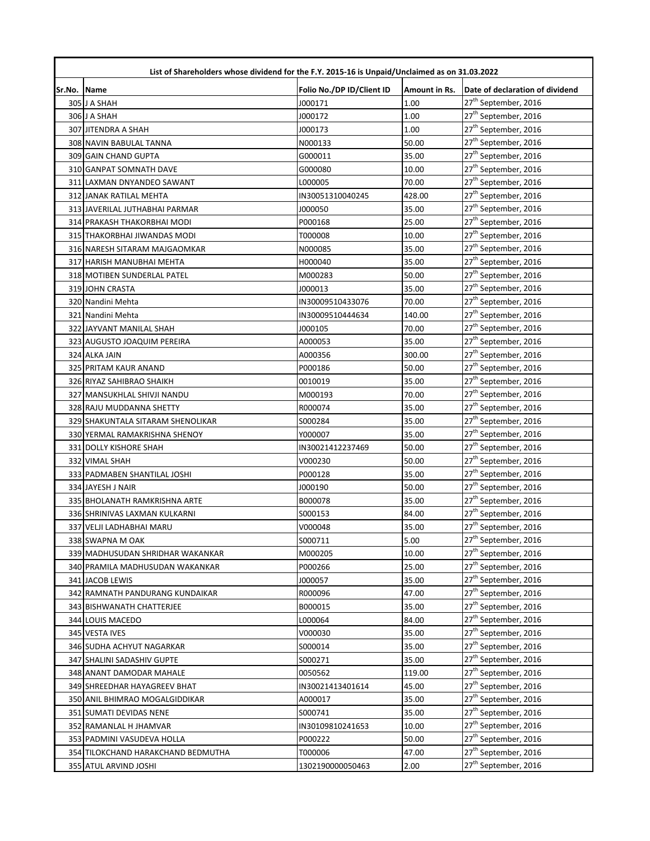|             | List of Shareholders whose dividend for the F.Y. 2015-16 is Unpaid/Unclaimed as on 31.03.2022 |                           |               |                                  |  |
|-------------|-----------------------------------------------------------------------------------------------|---------------------------|---------------|----------------------------------|--|
| Sr.No. Name |                                                                                               | Folio No./DP ID/Client ID | Amount in Rs. | Date of declaration of dividend  |  |
|             | 305 J A SHAH                                                                                  | J000171                   | 1.00          | 27 <sup>th</sup> September, 2016 |  |
|             | 306 J A SHAH                                                                                  | J000172                   | 1.00          | 27 <sup>th</sup> September, 2016 |  |
|             | 307 JITENDRA A SHAH                                                                           | J000173                   | 1.00          | 27 <sup>th</sup> September, 2016 |  |
|             | 308 NAVIN BABULAL TANNA                                                                       | N000133                   | 50.00         | 27 <sup>th</sup> September, 2016 |  |
|             | 309 GAIN CHAND GUPTA                                                                          | G000011                   | 35.00         | 27 <sup>th</sup> September, 2016 |  |
|             | 310 GANPAT SOMNATH DAVE                                                                       | G000080                   | 10.00         | 27 <sup>th</sup> September, 2016 |  |
|             | 311 LAXMAN DNYANDEO SAWANT                                                                    | L000005                   | 70.00         | 27 <sup>th</sup> September, 2016 |  |
|             | <b>312 JANAK RATILAL MEHTA</b>                                                                | IN30051310040245          | 428.00        | 27 <sup>th</sup> September, 2016 |  |
|             | 313 JAVERILAL JUTHABHAI PARMAR                                                                | J000050                   | 35.00         | 27 <sup>th</sup> September, 2016 |  |
|             | 314 PRAKASH THAKORBHAI MODI                                                                   | P000168                   | 25.00         | 27 <sup>th</sup> September, 2016 |  |
|             | 315 THAKORBHAI JIWANDAS MODI                                                                  | T000008                   | 10.00         | 27 <sup>th</sup> September, 2016 |  |
|             | 316 NARESH SITARAM MAJGAOMKAR                                                                 | N000085                   | 35.00         | 27 <sup>th</sup> September, 2016 |  |
|             | 317 HARISH MANUBHAI MEHTA                                                                     | H000040                   | 35.00         | 27 <sup>th</sup> September, 2016 |  |
|             | 318 MOTIBEN SUNDERLAL PATEL                                                                   | M000283                   | 50.00         | 27 <sup>th</sup> September, 2016 |  |
|             | 319 JOHN CRASTA                                                                               | J000013                   | 35.00         | 27 <sup>th</sup> September, 2016 |  |
|             | 320 Nandini Mehta                                                                             | IN30009510433076          | 70.00         | 27 <sup>th</sup> September, 2016 |  |
|             | 321 Nandini Mehta                                                                             | IN30009510444634          | 140.00        | 27 <sup>th</sup> September, 2016 |  |
|             | 322 JAYVANT MANILAL SHAH                                                                      | J000105                   | 70.00         | 27 <sup>th</sup> September, 2016 |  |
|             | 323 AUGUSTO JOAQUIM PEREIRA                                                                   | A000053                   | 35.00         | 27 <sup>th</sup> September, 2016 |  |
|             | 324 ALKA JAIN                                                                                 | A000356                   | 300.00        | 27 <sup>th</sup> September, 2016 |  |
|             | 325 PRITAM KAUR ANAND                                                                         | P000186                   | 50.00         | 27 <sup>th</sup> September, 2016 |  |
|             | 326 RIYAZ SAHIBRAO SHAIKH                                                                     | 0010019                   | 35.00         | 27 <sup>th</sup> September, 2016 |  |
|             | 327 MANSUKHLAL SHIVJI NANDU                                                                   | M000193                   | 70.00         | 27 <sup>th</sup> September, 2016 |  |
|             | 328 RAJU MUDDANNA SHETTY                                                                      | R000074                   | 35.00         | 27 <sup>th</sup> September, 2016 |  |
|             | 329 SHAKUNTALA SITARAM SHENOLIKAR                                                             | S000284                   | 35.00         | 27 <sup>th</sup> September, 2016 |  |
|             | 330 YERMAL RAMAKRISHNA SHENOY                                                                 | Y000007                   | 35.00         | 27 <sup>th</sup> September, 2016 |  |
|             | 331 DOLLY KISHORE SHAH                                                                        | IN30021412237469          | 50.00         | 27 <sup>th</sup> September, 2016 |  |
|             | 332 VIMAL SHAH                                                                                | V000230                   | 50.00         | 27 <sup>th</sup> September, 2016 |  |
|             | 333 PADMABEN SHANTILAL JOSHI                                                                  | P000128                   | 35.00         | 27 <sup>th</sup> September, 2016 |  |
|             | 334 JAYESH J NAIR                                                                             | J000190                   | 50.00         | 27 <sup>th</sup> September, 2016 |  |
|             | 335 BHOLANATH RAMKRISHNA ARTE                                                                 | B000078                   | 35.00         | 27 <sup>th</sup> September, 2016 |  |
|             | 336 SHRINIVAS LAXMAN KULKARNI                                                                 | S000153                   | 84.00         | 27 <sup>th</sup> September, 2016 |  |
|             | 337 VELJI LADHABHAI MARU                                                                      | V000048                   | 35.00         | 27 <sup>th</sup> September, 2016 |  |
|             | 338 SWAPNA M OAK                                                                              | S000711                   | 5.00          | 27 <sup>th</sup> September, 2016 |  |
|             | 339 MADHUSUDAN SHRIDHAR WAKANKAR                                                              | M000205                   | 10.00         | 27 <sup>th</sup> September, 2016 |  |
|             | 340 PRAMILA MADHUSUDAN WAKANKAR                                                               | P000266                   | 25.00         | 27 <sup>th</sup> September, 2016 |  |
|             | 341 JACOB LEWIS                                                                               | J000057                   | 35.00         | 27 <sup>th</sup> September, 2016 |  |
|             | 342 RAMNATH PANDURANG KUNDAIKAR                                                               | R000096                   | 47.00         | 27 <sup>th</sup> September, 2016 |  |
|             | 343 BISHWANATH CHATTERJEE                                                                     | B000015                   | 35.00         | 27 <sup>th</sup> September, 2016 |  |
|             | 344 LOUIS MACEDO                                                                              | L000064                   | 84.00         | 27 <sup>th</sup> September, 2016 |  |
|             | 345 VESTA IVES                                                                                | V000030                   | 35.00         | 27 <sup>th</sup> September, 2016 |  |
|             | 346 SUDHA ACHYUT NAGARKAR                                                                     | S000014                   | 35.00         | 27 <sup>th</sup> September, 2016 |  |
|             | 347 SHALINI SADASHIV GUPTE                                                                    | S000271                   | 35.00         | 27 <sup>th</sup> September, 2016 |  |
|             | 348 ANANT DAMODAR MAHALE                                                                      | 0050562                   | 119.00        | 27 <sup>th</sup> September, 2016 |  |
|             | 349 SHREEDHAR HAYAGREEV BHAT                                                                  | IN30021413401614          | 45.00         | 27 <sup>th</sup> September, 2016 |  |
|             | 350 ANIL BHIMRAO MOGALGIDDIKAR                                                                | A000017                   | 35.00         | 27 <sup>th</sup> September, 2016 |  |
|             | 351 SUMATI DEVIDAS NENE                                                                       | S000741                   | 35.00         | 27 <sup>th</sup> September, 2016 |  |
|             | 352 RAMANLAL H JHAMVAR                                                                        | IN30109810241653          | 10.00         | 27 <sup>th</sup> September, 2016 |  |
|             | 353 PADMINI VASUDEVA HOLLA                                                                    | P000222                   | 50.00         | 27 <sup>th</sup> September, 2016 |  |
|             | 354 TILOKCHAND HARAKCHAND BEDMUTHA                                                            | T000006                   | 47.00         | 27 <sup>th</sup> September, 2016 |  |
|             | 355 ATUL ARVIND JOSHI                                                                         | 1302190000050463          | 2.00          | 27 <sup>th</sup> September, 2016 |  |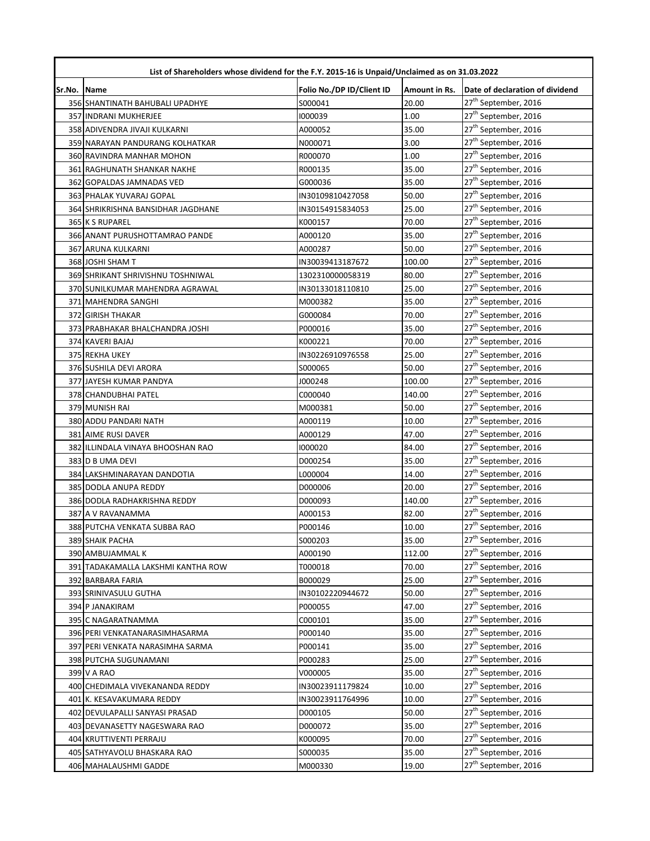|             | List of Shareholders whose dividend for the F.Y. 2015-16 is Unpaid/Unclaimed as on 31.03.2022 |                           |               |                                  |  |
|-------------|-----------------------------------------------------------------------------------------------|---------------------------|---------------|----------------------------------|--|
| Sr.No. Name |                                                                                               | Folio No./DP ID/Client ID | Amount in Rs. | Date of declaration of dividend  |  |
|             | 356 SHANTINATH BAHUBALI UPADHYE                                                               | S000041                   | 20.00         | 27 <sup>th</sup> September, 2016 |  |
|             | 357 INDRANI MUKHERJEE                                                                         | 1000039                   | 1.00          | 27 <sup>th</sup> September, 2016 |  |
|             | 358 ADIVENDRA JIVAJI KULKARNI                                                                 | A000052                   | 35.00         | 27 <sup>th</sup> September, 2016 |  |
|             | 359 NARAYAN PANDURANG KOLHATKAR                                                               | N000071                   | 3.00          | 27 <sup>th</sup> September, 2016 |  |
|             | 360 RAVINDRA MANHAR MOHON                                                                     | R000070                   | 1.00          | 27 <sup>th</sup> September, 2016 |  |
|             | 361 RAGHUNATH SHANKAR NAKHE                                                                   | R000135                   | 35.00         | 27 <sup>th</sup> September, 2016 |  |
|             | 362 GOPALDAS JAMNADAS VED                                                                     | G000036                   | 35.00         | 27 <sup>th</sup> September, 2016 |  |
|             | 363 PHALAK YUVARAJ GOPAL                                                                      | IN30109810427058          | 50.00         | 27 <sup>th</sup> September, 2016 |  |
|             | 364 SHRIKRISHNA BANSIDHAR JAGDHANE                                                            | IN30154915834053          | 25.00         | 27 <sup>th</sup> September, 2016 |  |
|             | 365 K S RUPAREL                                                                               | K000157                   | 70.00         | 27 <sup>th</sup> September, 2016 |  |
|             | 366 ANANT PURUSHOTTAMRAO PANDE                                                                | A000120                   | 35.00         | 27 <sup>th</sup> September, 2016 |  |
|             | 367 ARUNA KULKARNI                                                                            | A000287                   | 50.00         | 27 <sup>th</sup> September, 2016 |  |
|             | 368 JOSHI SHAM T                                                                              | IN30039413187672          | 100.00        | 27 <sup>th</sup> September, 2016 |  |
|             | 369 SHRIKANT SHRIVISHNU TOSHNIWAL                                                             | 1302310000058319          | 80.00         | 27 <sup>th</sup> September, 2016 |  |
|             | 370 SUNILKUMAR MAHENDRA AGRAWAL                                                               | IN30133018110810          | 25.00         | 27 <sup>th</sup> September, 2016 |  |
|             | 371 MAHENDRA SANGHI                                                                           | M000382                   | 35.00         | 27 <sup>th</sup> September, 2016 |  |
|             | 372 GIRISH THAKAR                                                                             | G000084                   | 70.00         | 27 <sup>th</sup> September, 2016 |  |
|             | 373 PRABHAKAR BHALCHANDRA JOSHI                                                               | P000016                   | 35.00         | 27 <sup>th</sup> September, 2016 |  |
|             | 374 KAVERI BAJAJ                                                                              | K000221                   | 70.00         | 27 <sup>th</sup> September, 2016 |  |
|             | 375 REKHA UKEY                                                                                | IN30226910976558          | 25.00         | 27 <sup>th</sup> September, 2016 |  |
|             | 376 SUSHILA DEVI ARORA                                                                        | \$000065                  | 50.00         | 27 <sup>th</sup> September, 2016 |  |
|             | 377 JAYESH KUMAR PANDYA                                                                       | J000248                   | 100.00        | 27 <sup>th</sup> September, 2016 |  |
|             | 378 CHANDUBHAI PATEL                                                                          | C000040                   | 140.00        | 27 <sup>th</sup> September, 2016 |  |
|             | 379 MUNISH RAI                                                                                | M000381                   | 50.00         | 27 <sup>th</sup> September, 2016 |  |
|             | 380 ADDU PANDARI NATH                                                                         | A000119                   | 10.00         | 27 <sup>th</sup> September, 2016 |  |
|             | 381 AIME RUSI DAVER                                                                           | A000129                   | 47.00         | 27 <sup>th</sup> September, 2016 |  |
|             | 382 ILLINDALA VINAYA BHOOSHAN RAO                                                             | 1000020                   | 84.00         | 27 <sup>th</sup> September, 2016 |  |
|             | 383 D B UMA DEVI                                                                              | D000254                   | 35.00         | 27 <sup>th</sup> September, 2016 |  |
|             | 384 LAKSHMINARAYAN DANDOTIA                                                                   | L000004                   | 14.00         | 27 <sup>th</sup> September, 2016 |  |
|             | 385 DODLA ANUPA REDDY                                                                         | D000006                   | 20.00         | 27 <sup>th</sup> September, 2016 |  |
|             | 386 DODLA RADHAKRISHNA REDDY                                                                  | D000093                   | 140.00        | 27 <sup>th</sup> September, 2016 |  |
|             | 387 A V RAVANAMMA                                                                             | A000153                   | 82.00         | 27 <sup>th</sup> September, 2016 |  |
|             | 388 PUTCHA VENKATA SUBBA RAO                                                                  | P000146                   | 10.00         | 27 <sup>th</sup> September, 2016 |  |
|             | 389 SHAIK PACHA                                                                               | 5000203                   | 35.00         | 27 <sup>th</sup> September, 2016 |  |
|             | 390 AMBUJAMMAL K                                                                              | A000190                   | 112.00        | 27 <sup>th</sup> September, 2016 |  |
|             | 391 TADAKAMALLA LAKSHMI KANTHA ROW                                                            | T000018                   | 70.00         | 27 <sup>th</sup> September, 2016 |  |
|             | 392 BARBARA FARIA                                                                             | B000029                   | 25.00         | 27 <sup>th</sup> September, 2016 |  |
|             | 393 SRINIVASULU GUTHA                                                                         | IN30102220944672          | 50.00         | 27 <sup>th</sup> September, 2016 |  |
|             | 394 P JANAKIRAM                                                                               | P000055                   | 47.00         | 27 <sup>th</sup> September, 2016 |  |
|             | 395 C NAGARATNAMMA                                                                            | C000101                   | 35.00         | 27 <sup>th</sup> September, 2016 |  |
|             | 396 PERI VENKATANARASIMHASARMA                                                                | P000140                   | 35.00         | 27 <sup>th</sup> September, 2016 |  |
|             | 397 PERI VENKATA NARASIMHA SARMA                                                              | P000141                   | 35.00         | 27 <sup>th</sup> September, 2016 |  |
|             | 398 PUTCHA SUGUNAMANI                                                                         | P000283                   | 25.00         | 27 <sup>th</sup> September, 2016 |  |
|             | 399 V A RAO                                                                                   | V000005                   | 35.00         | 27 <sup>th</sup> September, 2016 |  |
|             | 400 CHEDIMALA VIVEKANANDA REDDY                                                               | IN30023911179824          | 10.00         | 27 <sup>th</sup> September, 2016 |  |
|             | 401 K. KESAVAKUMARA REDDY                                                                     | IN30023911764996          | 10.00         | 27 <sup>th</sup> September, 2016 |  |
|             | 402 DEVULAPALLI SANYASI PRASAD                                                                | D000105                   | 50.00         | 27 <sup>th</sup> September, 2016 |  |
|             | 403 DEVANASETTY NAGESWARA RAO                                                                 | D000072                   | 35.00         | 27 <sup>th</sup> September, 2016 |  |
|             | 404 KRUTTIVENTI PERRAJU                                                                       | K000095                   | 70.00         | 27 <sup>th</sup> September, 2016 |  |
|             | 405 SATHYAVOLU BHASKARA RAO                                                                   | S000035                   | 35.00         | 27 <sup>th</sup> September, 2016 |  |
|             | 406 MAHALAUSHMI GADDE                                                                         | M000330                   | 19.00         | 27 <sup>th</sup> September, 2016 |  |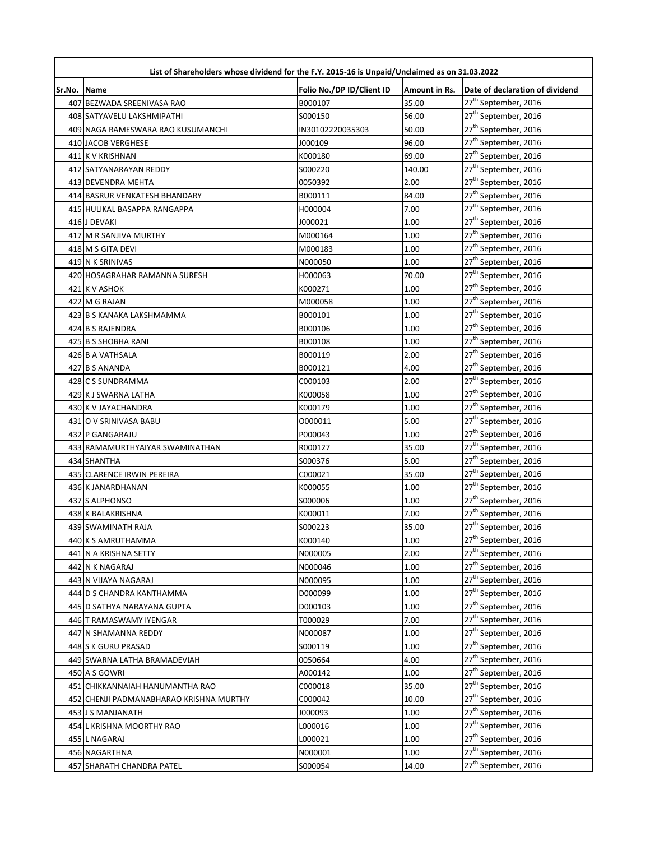|        | List of Shareholders whose dividend for the F.Y. 2015-16 is Unpaid/Unclaimed as on 31.03.2022 |                           |               |                                  |  |
|--------|-----------------------------------------------------------------------------------------------|---------------------------|---------------|----------------------------------|--|
| Sr.No. | Name                                                                                          | Folio No./DP ID/Client ID | Amount in Rs. | Date of declaration of dividend  |  |
|        | 407 BEZWADA SREENIVASA RAO                                                                    | B000107                   | 35.00         | 27 <sup>th</sup> September, 2016 |  |
|        | 408 SATYAVELU LAKSHMIPATHI                                                                    | S000150                   | 56.00         | 27 <sup>th</sup> September, 2016 |  |
|        | 409 NAGA RAMESWARA RAO KUSUMANCHI                                                             | IN30102220035303          | 50.00         | 27 <sup>th</sup> September, 2016 |  |
|        | 410 JACOB VERGHESE                                                                            | J000109                   | 96.00         | 27 <sup>th</sup> September, 2016 |  |
|        | 411 K V KRISHNAN                                                                              | K000180                   | 69.00         | 27 <sup>th</sup> September, 2016 |  |
|        | 412 SATYANARAYAN REDDY                                                                        | S000220                   | 140.00        | 27 <sup>th</sup> September, 2016 |  |
|        | 413 DEVENDRA MEHTA                                                                            | 0050392                   | 2.00          | 27 <sup>th</sup> September, 2016 |  |
|        | 414 BASRUR VENKATESH BHANDARY                                                                 | B000111                   | 84.00         | 27 <sup>th</sup> September, 2016 |  |
|        | 415 HULIKAL BASAPPA RANGAPPA                                                                  | H000004                   | 7.00          | 27 <sup>th</sup> September, 2016 |  |
|        | 416 J DEVAKI                                                                                  | J000021                   | 1.00          | 27 <sup>th</sup> September, 2016 |  |
|        | 417 M R SANJIVA MURTHY                                                                        | M000164                   | 1.00          | 27 <sup>th</sup> September, 2016 |  |
|        | 418 M S GITA DEVI                                                                             | M000183                   | 1.00          | 27 <sup>th</sup> September, 2016 |  |
|        | 419 N K SRINIVAS                                                                              | N000050                   | 1.00          | 27 <sup>th</sup> September, 2016 |  |
|        | 420 HOSAGRAHAR RAMANNA SURESH                                                                 | H000063                   | 70.00         | 27 <sup>th</sup> September, 2016 |  |
|        | 421 K V ASHOK                                                                                 | K000271                   | 1.00          | 27 <sup>th</sup> September, 2016 |  |
|        | 422 M G RAJAN                                                                                 | M000058                   | 1.00          | 27 <sup>th</sup> September, 2016 |  |
|        | 423 B S KANAKA LAKSHMAMMA                                                                     | B000101                   | 1.00          | 27 <sup>th</sup> September, 2016 |  |
|        | 424 B S RAJENDRA                                                                              | B000106                   | 1.00          | 27 <sup>th</sup> September, 2016 |  |
|        | 425 B S SHOBHA RANI                                                                           | B000108                   | 1.00          | 27 <sup>th</sup> September, 2016 |  |
|        | 426 B A VATHSALA                                                                              | B000119                   | 2.00          | 27 <sup>th</sup> September, 2016 |  |
|        | 427 B S ANANDA                                                                                | B000121                   | 4.00          | 27 <sup>th</sup> September, 2016 |  |
|        | 428 C S SUNDRAMMA                                                                             | C000103                   | 2.00          | 27 <sup>th</sup> September, 2016 |  |
|        | 429 K J SWARNA LATHA                                                                          | K000058                   | 1.00          | 27 <sup>th</sup> September, 2016 |  |
|        | 430 K V JAYACHANDRA                                                                           | K000179                   | 1.00          | 27 <sup>th</sup> September, 2016 |  |
|        | 431 O V SRINIVASA BABU                                                                        | 0000011                   | 5.00          | 27 <sup>th</sup> September, 2016 |  |
|        | 432 P GANGARAJU                                                                               | P000043                   | 1.00          | 27 <sup>th</sup> September, 2016 |  |
|        | 433 RAMAMURTHYAIYAR SWAMINATHAN                                                               | R000127                   | 35.00         | 27 <sup>th</sup> September, 2016 |  |
|        | 434 SHANTHA                                                                                   | S000376                   | 5.00          | 27 <sup>th</sup> September, 2016 |  |
|        | 435 CLARENCE IRWIN PEREIRA                                                                    | C000021                   | 35.00         | 27 <sup>th</sup> September, 2016 |  |
|        | 436 K JANARDHANAN                                                                             | K000055                   | 1.00          | 27 <sup>th</sup> September, 2016 |  |
|        | 437 S ALPHONSO                                                                                | S000006                   | 1.00          | 27 <sup>th</sup> September, 2016 |  |
|        | 438 K BALAKRISHNA                                                                             | K000011                   | 7.00          | 27 <sup>th</sup> September, 2016 |  |
|        | 439 SWAMINATH RAJA                                                                            | S000223                   | 35.00         | 27 <sup>th</sup> September, 2016 |  |
|        | 440 K S AMRUTHAMMA                                                                            | K000140                   | 1.00          | 27 <sup>th</sup> September, 2016 |  |
|        | 441 N A KRISHNA SETTY                                                                         | N000005                   | 2.00          | 27 <sup>th</sup> September, 2016 |  |
|        | 442 N K NAGARAJ                                                                               | N000046                   | 1.00          | 27 <sup>th</sup> September, 2016 |  |
|        | 443 N VIJAYA NAGARAJ                                                                          | N000095                   | 1.00          | 27 <sup>th</sup> September, 2016 |  |
|        | 444 D S CHANDRA KANTHAMMA                                                                     | D000099                   | 1.00          | 27 <sup>th</sup> September, 2016 |  |
|        | 445 D SATHYA NARAYANA GUPTA                                                                   | D000103                   | 1.00          | 27 <sup>th</sup> September, 2016 |  |
|        | 446 T RAMASWAMY IYENGAR                                                                       | T000029                   | 7.00          | 27 <sup>th</sup> September, 2016 |  |
|        | 447 N SHAMANNA REDDY                                                                          | N000087                   | 1.00          | 27 <sup>th</sup> September, 2016 |  |
|        | 448 S K GURU PRASAD                                                                           | S000119                   | 1.00          | 27 <sup>th</sup> September, 2016 |  |
|        | 449 SWARNA LATHA BRAMADEVIAH                                                                  | 0050664                   | 4.00          | 27 <sup>th</sup> September, 2016 |  |
|        | 450 A S GOWRI                                                                                 | A000142                   | 1.00          | 27 <sup>th</sup> September, 2016 |  |
|        | 451 CHIKKANNAIAH HANUMANTHA RAO                                                               | C000018                   | 35.00         | 27 <sup>th</sup> September, 2016 |  |
|        | 452 CHENJI PADMANABHARAO KRISHNA MURTHY                                                       | C000042                   | 10.00         | 27 <sup>th</sup> September, 2016 |  |
|        | 453 J S MANJANATH                                                                             | 000093                    | 1.00          | 27 <sup>th</sup> September, 2016 |  |
|        | 454 L KRISHNA MOORTHY RAO                                                                     | L000016                   | 1.00          | 27 <sup>th</sup> September, 2016 |  |
|        | 455 L NAGARAJ                                                                                 | L000021                   | 1.00          | 27 <sup>th</sup> September, 2016 |  |
|        | 456 NAGARTHNA                                                                                 | N000001                   | 1.00          | 27 <sup>th</sup> September, 2016 |  |
|        | 457 SHARATH CHANDRA PATEL                                                                     | S000054                   | 14.00         | 27 <sup>th</sup> September, 2016 |  |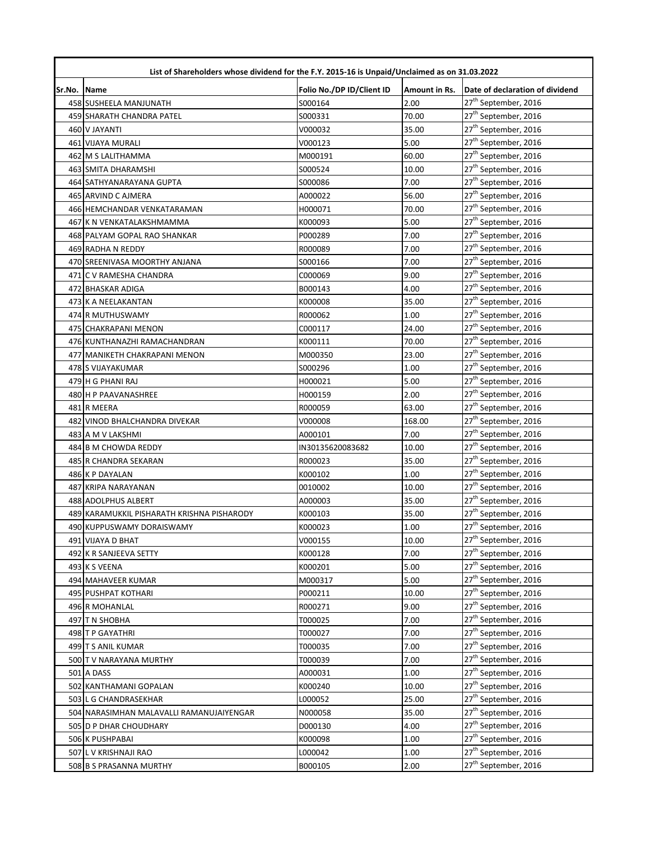|             | List of Shareholders whose dividend for the F.Y. 2015-16 is Unpaid/Unclaimed as on 31.03.2022 |                           |               |                                  |  |
|-------------|-----------------------------------------------------------------------------------------------|---------------------------|---------------|----------------------------------|--|
| Sr.No. Name |                                                                                               | Folio No./DP ID/Client ID | Amount in Rs. | Date of declaration of dividend  |  |
|             | 458 SUSHEELA MANJUNATH                                                                        | S000164                   | 2.00          | 27 <sup>th</sup> September, 2016 |  |
|             | 459 SHARATH CHANDRA PATEL                                                                     | S000331                   | 70.00         | 27 <sup>th</sup> September, 2016 |  |
|             | 460 V JAYANTI                                                                                 | V000032                   | 35.00         | 27 <sup>th</sup> September, 2016 |  |
|             | 461 VIJAYA MURALI                                                                             | V000123                   | 5.00          | 27 <sup>th</sup> September, 2016 |  |
|             | 462 M S LALITHAMMA                                                                            | M000191                   | 60.00         | 27 <sup>th</sup> September, 2016 |  |
|             | 463 SMITA DHARAMSHI                                                                           | S000524                   | 10.00         | 27 <sup>th</sup> September, 2016 |  |
|             | 464 SATHYANARAYANA GUPTA                                                                      | S000086                   | 7.00          | 27 <sup>th</sup> September, 2016 |  |
|             | 465 ARVIND C AJMERA                                                                           | A000022                   | 56.00         | 27 <sup>th</sup> September, 2016 |  |
|             | 466 HEMCHANDAR VENKATARAMAN                                                                   | H000071                   | 70.00         | 27 <sup>th</sup> September, 2016 |  |
|             | 467 K N VENKATALAKSHMAMMA                                                                     | K000093                   | 5.00          | 27 <sup>th</sup> September, 2016 |  |
|             | 468 PALYAM GOPAL RAO SHANKAR                                                                  | P000289                   | 7.00          | 27 <sup>th</sup> September, 2016 |  |
|             | 469 RADHA N REDDY                                                                             | R000089                   | 7.00          | 27 <sup>th</sup> September, 2016 |  |
|             | 470 SREENIVASA MOORTHY ANJANA                                                                 | S000166                   | 7.00          | 27 <sup>th</sup> September, 2016 |  |
|             | 471 C V RAMESHA CHANDRA                                                                       | C000069                   | 9.00          | 27 <sup>th</sup> September, 2016 |  |
|             | 472 BHASKAR ADIGA                                                                             | B000143                   | 4.00          | 27 <sup>th</sup> September, 2016 |  |
|             | 473 K A NEELAKANTAN                                                                           | K000008                   | 35.00         | 27 <sup>th</sup> September, 2016 |  |
|             | 474 R MUTHUSWAMY                                                                              | R000062                   | 1.00          | 27 <sup>th</sup> September, 2016 |  |
|             | 475 CHAKRAPANI MENON                                                                          | C000117                   | 24.00         | 27 <sup>th</sup> September, 2016 |  |
|             | 476 KUNTHANAZHI RAMACHANDRAN                                                                  | K000111                   | 70.00         | 27 <sup>th</sup> September, 2016 |  |
|             | 477 MANIKETH CHAKRAPANI MENON                                                                 | M000350                   | 23.00         | 27 <sup>th</sup> September, 2016 |  |
|             | 478 S VIJAYAKUMAR                                                                             | S000296                   | 1.00          | 27 <sup>th</sup> September, 2016 |  |
|             | 479 H G PHANI RAJ                                                                             | H000021                   | 5.00          | 27 <sup>th</sup> September, 2016 |  |
|             | 480 H P PAAVANASHREE                                                                          | H000159                   | 2.00          | 27 <sup>th</sup> September, 2016 |  |
|             | 481 R MEERA                                                                                   | R000059                   | 63.00         | 27 <sup>th</sup> September, 2016 |  |
|             | 482 VINOD BHALCHANDRA DIVEKAR                                                                 | V000008                   | 168.00        | 27 <sup>th</sup> September, 2016 |  |
|             | 483 A M V LAKSHMI                                                                             | A000101                   | 7.00          | 27 <sup>th</sup> September, 2016 |  |
|             | 484 B M CHOWDA REDDY                                                                          | IN30135620083682          | 10.00         | 27 <sup>th</sup> September, 2016 |  |
|             | 485 R CHANDRA SEKARAN                                                                         | R000023                   | 35.00         | 27 <sup>th</sup> September, 2016 |  |
|             | 486 K P DAYALAN                                                                               | K000102                   | 1.00          | 27 <sup>th</sup> September, 2016 |  |
|             | 487 KRIPA NARAYANAN                                                                           | 0010002                   | 10.00         | 27 <sup>th</sup> September, 2016 |  |
|             | 488 ADOLPHUS ALBERT                                                                           | A000003                   | 35.00         | 27 <sup>th</sup> September, 2016 |  |
|             | 489 KARAMUKKIL PISHARATH KRISHNA PISHARODY                                                    | K000103                   | 35.00         | 27 <sup>th</sup> September, 2016 |  |
|             | 490 KUPPUSWAMY DORAISWAMY                                                                     | K000023                   | 1.00          | 27 <sup>th</sup> September, 2016 |  |
|             | 491 VIJAYA D BHAT                                                                             | V000155                   | 10.00         | 27 <sup>th</sup> September, 2016 |  |
|             | 492 K R SANJEEVA SETTY                                                                        | K000128                   | 7.00          | 27 <sup>th</sup> September, 2016 |  |
|             | 493 K S VEENA                                                                                 | K000201                   | 5.00          | 27 <sup>th</sup> September, 2016 |  |
|             | 494 MAHAVEER KUMAR                                                                            | M000317                   | 5.00          | 27 <sup>th</sup> September, 2016 |  |
|             | <b>495 PUSHPAT KOTHARI</b>                                                                    | P000211                   | 10.00         | 27 <sup>th</sup> September, 2016 |  |
|             | 496 R MOHANLAL                                                                                | R000271                   | 9.00          | 27 <sup>th</sup> September, 2016 |  |
|             | 497 T N SHOBHA                                                                                | T000025                   | 7.00          | 27 <sup>th</sup> September, 2016 |  |
|             | 498 T P GAYATHRI                                                                              | T000027                   | 7.00          | 27 <sup>th</sup> September, 2016 |  |
|             | 499 T S ANIL KUMAR                                                                            | T000035                   | 7.00          | 27 <sup>th</sup> September, 2016 |  |
|             | 500 T V NARAYANA MURTHY                                                                       | T000039                   | 7.00          | 27 <sup>th</sup> September, 2016 |  |
|             | <b>501 A DASS</b>                                                                             | A000031                   | 1.00          | 27 <sup>th</sup> September, 2016 |  |
|             | 502 KANTHAMANI GOPALAN                                                                        | K000240                   | 10.00         | 27 <sup>th</sup> September, 2016 |  |
|             | 503 L G CHANDRASEKHAR                                                                         | L000052                   | 25.00         | 27 <sup>th</sup> September, 2016 |  |
|             | 504 NARASIMHAN MALAVALLI RAMANUJAIYENGAR                                                      | N000058                   | 35.00         | 27 <sup>th</sup> September, 2016 |  |
|             | 505 D P DHAR CHOUDHARY                                                                        | D000130                   | 4.00          | 27 <sup>th</sup> September, 2016 |  |
|             | 506 K PUSHPABAI                                                                               | K000098                   | 1.00          | 27 <sup>th</sup> September, 2016 |  |
|             | 507 L V KRISHNAJI RAO                                                                         | L000042                   | 1.00          | 27 <sup>th</sup> September, 2016 |  |
|             | 508 B S PRASANNA MURTHY                                                                       | B000105                   | 2.00          | 27 <sup>th</sup> September, 2016 |  |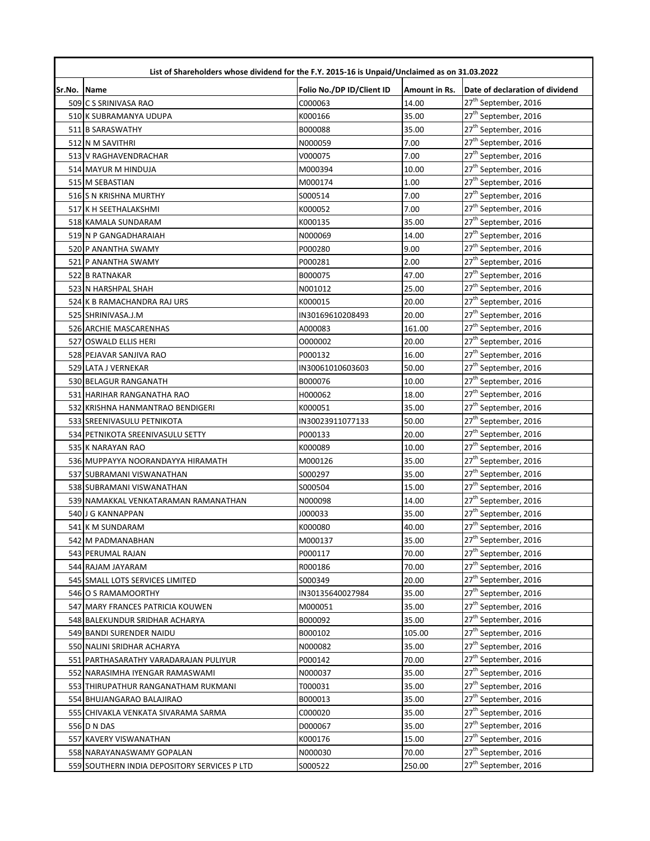| List of Shareholders whose dividend for the F.Y. 2015-16 is Unpaid/Unclaimed as on 31.03.2022 |                                              |                           |               |                                  |
|-----------------------------------------------------------------------------------------------|----------------------------------------------|---------------------------|---------------|----------------------------------|
| Sr.No. Name                                                                                   |                                              | Folio No./DP ID/Client ID | Amount in Rs. | Date of declaration of dividend  |
|                                                                                               | 509 C S SRINIVASA RAO                        | C000063                   | 14.00         | 27 <sup>th</sup> September, 2016 |
|                                                                                               | 510 K SUBRAMANYA UDUPA                       | K000166                   | 35.00         | 27 <sup>th</sup> September, 2016 |
|                                                                                               | 511 B SARASWATHY                             | B000088                   | 35.00         | 27 <sup>th</sup> September, 2016 |
|                                                                                               | 512 N M SAVITHRI                             | N000059                   | 7.00          | 27 <sup>th</sup> September, 2016 |
|                                                                                               | 513 V RAGHAVENDRACHAR                        | V000075                   | 7.00          | 27 <sup>th</sup> September, 2016 |
|                                                                                               | 514 MAYUR M HINDUJA                          | M000394                   | 10.00         | 27 <sup>th</sup> September, 2016 |
|                                                                                               | 515 M SEBASTIAN                              | M000174                   | 1.00          | 27 <sup>th</sup> September, 2016 |
|                                                                                               | 516 S N KRISHNA MURTHY                       | S000514                   | 7.00          | 27 <sup>th</sup> September, 2016 |
|                                                                                               | 517 K H SEETHALAKSHMI                        | K000052                   | 7.00          | 27 <sup>th</sup> September, 2016 |
|                                                                                               | 518 KAMALA SUNDARAM                          | K000135                   | 35.00         | 27 <sup>th</sup> September, 2016 |
|                                                                                               | 519 N P GANGADHARAIAH                        | N000069                   | 14.00         | 27 <sup>th</sup> September, 2016 |
|                                                                                               | 520 P ANANTHA SWAMY                          | P000280                   | 9.00          | 27 <sup>th</sup> September, 2016 |
|                                                                                               | 521 P ANANTHA SWAMY                          | P000281                   | 2.00          | 27 <sup>th</sup> September, 2016 |
|                                                                                               | 522 B RATNAKAR                               | B000075                   | 47.00         | 27 <sup>th</sup> September, 2016 |
|                                                                                               | 523 N HARSHPAL SHAH                          | N001012                   | 25.00         | 27 <sup>th</sup> September, 2016 |
|                                                                                               | 524 K B RAMACHANDRA RAJ URS                  | K000015                   | 20.00         | 27 <sup>th</sup> September, 2016 |
|                                                                                               | 525 SHRINIVASA.J.M                           | IN30169610208493          | 20.00         | $27^{\text{th}}$ September, 2016 |
|                                                                                               | 526 ARCHIE MASCARENHAS                       | A000083                   | 161.00        | 27 <sup>th</sup> September, 2016 |
|                                                                                               | 527 OSWALD ELLIS HERI                        | 0000002                   | 20.00         | 27 <sup>th</sup> September, 2016 |
|                                                                                               | 528 PEJAVAR SANJIVA RAO                      | P000132                   | 16.00         | 27 <sup>th</sup> September, 2016 |
|                                                                                               | 529 LATA J VERNEKAR                          | IN30061010603603          | 50.00         | 27 <sup>th</sup> September, 2016 |
|                                                                                               | 530 BELAGUR RANGANATH                        | B000076                   | 10.00         | 27 <sup>th</sup> September, 2016 |
|                                                                                               | 531 HARIHAR RANGANATHA RAO                   | H000062                   | 18.00         | 27 <sup>th</sup> September, 2016 |
|                                                                                               | 532 KRISHNA HANMANTRAO BENDIGERI             | K000051                   | 35.00         | 27 <sup>th</sup> September, 2016 |
|                                                                                               | 533 SREENIVASULU PETNIKOTA                   | IN30023911077133          | 50.00         | 27 <sup>th</sup> September, 2016 |
|                                                                                               | 534 PETNIKOTA SREENIVASULU SETTY             | P000133                   | 20.00         | 27 <sup>th</sup> September, 2016 |
|                                                                                               | 535 K NARAYAN RAO                            | K000089                   | 10.00         | 27 <sup>th</sup> September, 2016 |
|                                                                                               | 536 MUPPAYYA NOORANDAYYA HIRAMATH            | M000126                   | 35.00         | 27 <sup>th</sup> September, 2016 |
|                                                                                               | 537 SUBRAMANI VISWANATHAN                    | S000297                   | 35.00         | 27 <sup>th</sup> September, 2016 |
|                                                                                               | 538 SUBRAMANI VISWANATHAN                    | S000504                   | 15.00         | 27 <sup>th</sup> September, 2016 |
|                                                                                               | 539 NAMAKKAL VENKATARAMAN RAMANATHAN         | N000098                   | 14.00         | 27 <sup>th</sup> September, 2016 |
|                                                                                               | 540 J G KANNAPPAN                            | J000033                   | 35.00         | 27 <sup>th</sup> September, 2016 |
|                                                                                               | 541 K M SUNDARAM                             | K000080                   | 40.00         | 27 <sup>th</sup> September, 2016 |
|                                                                                               | 542 M PADMANABHAN                            | M000137                   | 35.00         | 27 <sup>th</sup> September, 2016 |
|                                                                                               | 543 PERUMAL RAJAN                            | P000117                   | 70.00         | 27 <sup>th</sup> September, 2016 |
|                                                                                               | 544 RAJAM JAYARAM                            | R000186                   | 70.00         | 27 <sup>th</sup> September, 2016 |
|                                                                                               | 545 SMALL LOTS SERVICES LIMITED              | S000349                   | 20.00         | 27 <sup>th</sup> September, 2016 |
|                                                                                               | 546 O S RAMAMOORTHY                          | IN30135640027984          | 35.00         | 27 <sup>th</sup> September, 2016 |
|                                                                                               | 547 MARY FRANCES PATRICIA KOUWEN             | M000051                   | 35.00         | 27 <sup>th</sup> September, 2016 |
|                                                                                               | 548 BALEKUNDUR SRIDHAR ACHARYA               | B000092                   | 35.00         | 27 <sup>th</sup> September, 2016 |
|                                                                                               | 549 BANDI SURENDER NAIDU                     | B000102                   | 105.00        | 27 <sup>th</sup> September, 2016 |
|                                                                                               | 550 NALINI SRIDHAR ACHARYA                   | N000082                   | 35.00         | 27 <sup>th</sup> September, 2016 |
|                                                                                               | 551 PARTHASARATHY VARADARAJAN PULIYUR        | P000142                   | 70.00         | 27 <sup>th</sup> September, 2016 |
|                                                                                               | 552 NARASIMHA IYENGAR RAMASWAMI              | N000037                   | 35.00         | 27 <sup>th</sup> September, 2016 |
|                                                                                               | 553 THIRUPATHUR RANGANATHAM RUKMANI          | T000031                   | 35.00         | 27 <sup>th</sup> September, 2016 |
|                                                                                               | 554 BHUJANGARAO BALAJIRAO                    | B000013                   | 35.00         | 27 <sup>th</sup> September, 2016 |
|                                                                                               | 555 CHIVAKLA VENKATA SIVARAMA SARMA          | C000020                   | 35.00         | 27 <sup>th</sup> September, 2016 |
|                                                                                               | 556 D N DAS                                  | D000067                   | 35.00         | 27 <sup>th</sup> September, 2016 |
|                                                                                               | 557 KAVERY VISWANATHAN                       | K000176                   | 15.00         | 27 <sup>th</sup> September, 2016 |
|                                                                                               | 558 NARAYANASWAMY GOPALAN                    | N000030                   | 70.00         | 27 <sup>th</sup> September, 2016 |
|                                                                                               | 559 SOUTHERN INDIA DEPOSITORY SERVICES P LTD | S000522                   | 250.00        | 27 <sup>th</sup> September, 2016 |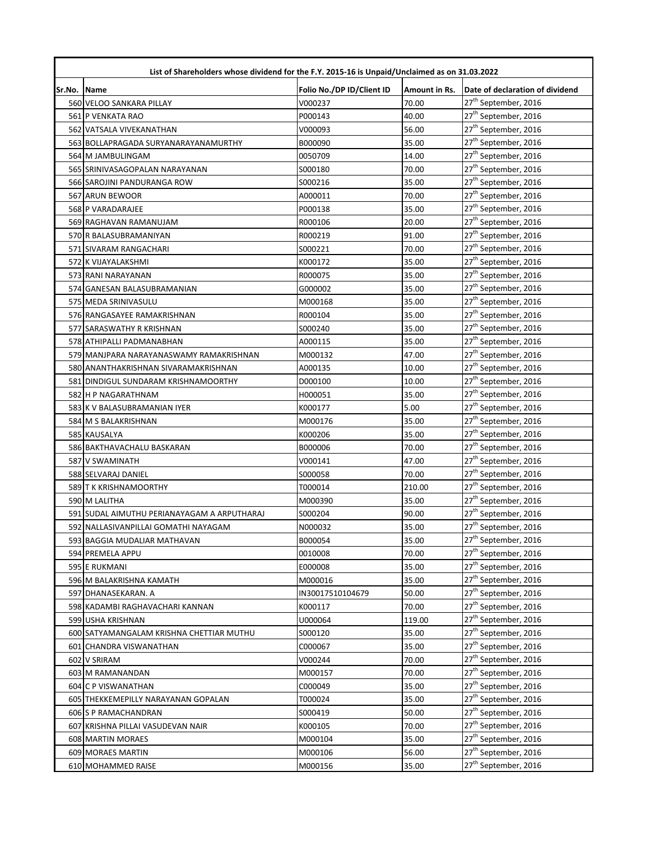|             | List of Shareholders whose dividend for the F.Y. 2015-16 is Unpaid/Unclaimed as on 31.03.2022 |                           |               |                                  |  |
|-------------|-----------------------------------------------------------------------------------------------|---------------------------|---------------|----------------------------------|--|
| Sr.No. Name |                                                                                               | Folio No./DP ID/Client ID | Amount in Rs. | Date of declaration of dividend  |  |
|             | 560 VELOO SANKARA PILLAY                                                                      | V000237                   | 70.00         | 27 <sup>th</sup> September, 2016 |  |
|             | 561 P VENKATA RAO                                                                             | P000143                   | 40.00         | 27 <sup>th</sup> September, 2016 |  |
|             | 562 VATSALA VIVEKANATHAN                                                                      | V000093                   | 56.00         | 27 <sup>th</sup> September, 2016 |  |
|             | 563 BOLLAPRAGADA SURYANARAYANAMURTHY                                                          | B000090                   | 35.00         | 27 <sup>th</sup> September, 2016 |  |
|             | 564 M JAMBULINGAM                                                                             | 0050709                   | 14.00         | 27 <sup>th</sup> September, 2016 |  |
|             | 565 SRINIVASAGOPALAN NARAYANAN                                                                | S000180                   | 70.00         | 27 <sup>th</sup> September, 2016 |  |
|             | 566 SAROJINI PANDURANGA ROW                                                                   | S000216                   | 35.00         | 27 <sup>th</sup> September, 2016 |  |
|             | 567 ARUN BEWOOR                                                                               | A000011                   | 70.00         | 27 <sup>th</sup> September, 2016 |  |
|             | 568 P VARADARAJEE                                                                             | P000138                   | 35.00         | 27 <sup>th</sup> September, 2016 |  |
|             | 569 RAGHAVAN RAMANUJAM                                                                        | R000106                   | 20.00         | 27 <sup>th</sup> September, 2016 |  |
|             | 570 R BALASUBRAMANIYAN                                                                        | R000219                   | 91.00         | 27 <sup>th</sup> September, 2016 |  |
|             | 571 SIVARAM RANGACHARI                                                                        | S000221                   | 70.00         | 27 <sup>th</sup> September, 2016 |  |
|             | 572 K VIJAYALAKSHMI                                                                           | K000172                   | 35.00         | 27 <sup>th</sup> September, 2016 |  |
|             | 573 RANI NARAYANAN                                                                            | R000075                   | 35.00         | 27 <sup>th</sup> September, 2016 |  |
|             | 574 GANESAN BALASUBRAMANIAN                                                                   | G000002                   | 35.00         | 27 <sup>th</sup> September, 2016 |  |
|             | 575 MEDA SRINIVASULU                                                                          | M000168                   | 35.00         | 27 <sup>th</sup> September, 2016 |  |
|             | 576 RANGASAYEE RAMAKRISHNAN                                                                   | R000104                   | 35.00         | 27 <sup>th</sup> September, 2016 |  |
|             | 577 SARASWATHY R KRISHNAN                                                                     | S000240                   | 35.00         | 27 <sup>th</sup> September, 2016 |  |
|             | 578 ATHIPALLI PADMANABHAN                                                                     | A000115                   | 35.00         | 27 <sup>th</sup> September, 2016 |  |
|             | 579 MANJPARA NARAYANASWAMY RAMAKRISHNAN                                                       | M000132                   | 47.00         | 27 <sup>th</sup> September, 2016 |  |
|             | 580 ANANTHAKRISHNAN SIVARAMAKRISHNAN                                                          | A000135                   | 10.00         | 27 <sup>th</sup> September, 2016 |  |
|             | 581 DINDIGUL SUNDARAM KRISHNAMOORTHY                                                          | D000100                   | 10.00         | 27 <sup>th</sup> September, 2016 |  |
|             | 582 H P NAGARATHNAM                                                                           | H000051                   | 35.00         | 27 <sup>th</sup> September, 2016 |  |
|             | 583 K V BALASUBRAMANIAN IYER                                                                  | K000177                   | 5.00          | 27 <sup>th</sup> September, 2016 |  |
|             | 584 M S BALAKRISHNAN                                                                          | M000176                   | 35.00         | 27 <sup>th</sup> September, 2016 |  |
|             | 585 KAUSALYA                                                                                  | K000206                   | 35.00         | 27 <sup>th</sup> September, 2016 |  |
|             | 586 BAKTHAVACHALU BASKARAN                                                                    | B000006                   | 70.00         | 27 <sup>th</sup> September, 2016 |  |
|             | 587 V SWAMINATH                                                                               | V000141                   | 47.00         | 27 <sup>th</sup> September, 2016 |  |
|             | 588 SELVARAJ DANIEL                                                                           | S000058                   | 70.00         | 27 <sup>th</sup> September, 2016 |  |
|             | 589 T K KRISHNAMOORTHY                                                                        | T000014                   | 210.00        | 27 <sup>th</sup> September, 2016 |  |
|             | 590 M LALITHA                                                                                 | M000390                   | 35.00         | 27 <sup>th</sup> September, 2016 |  |
|             | 591 SUDAL AIMUTHU PERIANAYAGAM A ARPUTHARAJ                                                   | S000204                   | 90.00         | 27 <sup>th</sup> September, 2016 |  |
|             | 592 NALLASIVANPILLAI GOMATHI NAYAGAM                                                          | N000032                   | 35.00         | 27 <sup>th</sup> September, 2016 |  |
|             | 593 BAGGIA MUDALIAR MATHAVAN                                                                  | B000054                   | 35.00         | 27 <sup>th</sup> September, 2016 |  |
|             | 594 PREMELA APPU                                                                              | 0010008                   | 70.00         | 27 <sup>th</sup> September, 2016 |  |
|             | 595 E RUKMANI                                                                                 | E000008                   | 35.00         | 27 <sup>th</sup> September, 2016 |  |
|             | 596 M BALAKRISHNA KAMATH                                                                      | M000016                   | 35.00         | 27 <sup>th</sup> September, 2016 |  |
|             | 597 DHANASEKARAN. A                                                                           | IN30017510104679          | 50.00         | 27 <sup>th</sup> September, 2016 |  |
|             | 598 KADAMBI RAGHAVACHARI KANNAN                                                               | K000117                   | 70.00         | 27 <sup>th</sup> September, 2016 |  |
|             | 599 USHA KRISHNAN                                                                             | U000064                   | 119.00        | 27 <sup>th</sup> September, 2016 |  |
|             | 600 SATYAMANGALAM KRISHNA CHETTIAR MUTHU                                                      | S000120                   | 35.00         | 27 <sup>th</sup> September, 2016 |  |
|             | 601 CHANDRA VISWANATHAN                                                                       | C000067                   | 35.00         | 27 <sup>th</sup> September, 2016 |  |
|             | 602 V SRIRAM                                                                                  | V000244                   | 70.00         | 27 <sup>th</sup> September, 2016 |  |
|             | 603 M RAMANANDAN                                                                              | M000157                   | 70.00         | 27 <sup>th</sup> September, 2016 |  |
|             | 604 C P VISWANATHAN                                                                           | C000049                   | 35.00         | 27 <sup>th</sup> September, 2016 |  |
|             | 605 THEKKEMEPILLY NARAYANAN GOPALAN                                                           | T000024                   | 35.00         | 27 <sup>th</sup> September, 2016 |  |
|             | 606 S P RAMACHANDRAN                                                                          | S000419                   | 50.00         | 27 <sup>th</sup> September, 2016 |  |
|             | 607 KRISHNA PILLAI VASUDEVAN NAIR                                                             | K000105                   | 70.00         | 27 <sup>th</sup> September, 2016 |  |
|             | 608 MARTIN MORAES                                                                             | M000104                   | 35.00         | 27 <sup>th</sup> September, 2016 |  |
|             | 609 MORAES MARTIN                                                                             | M000106                   | 56.00         | 27 <sup>th</sup> September, 2016 |  |
|             | 610 MOHAMMED RAISE                                                                            | M000156                   | 35.00         | 27 <sup>th</sup> September, 2016 |  |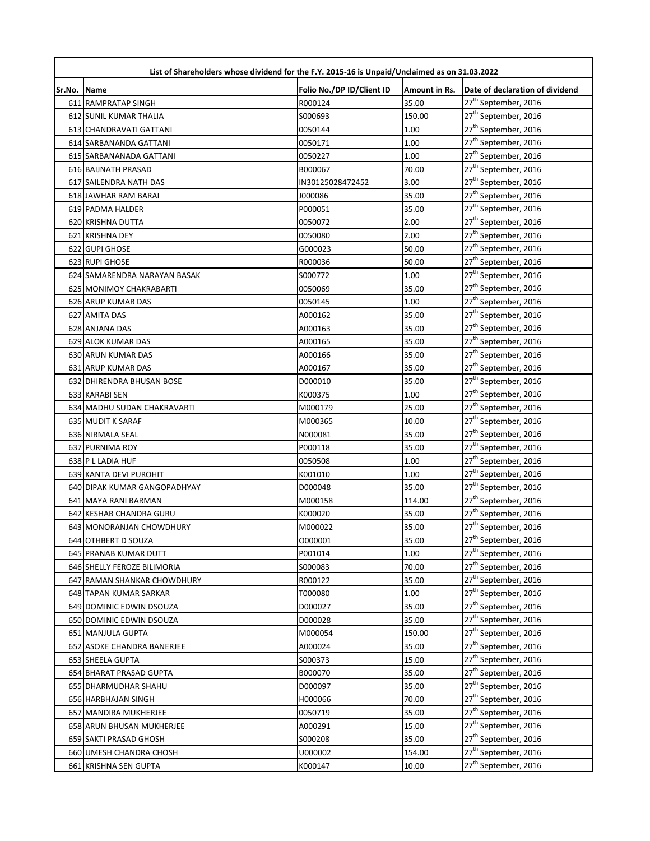| List of Shareholders whose dividend for the F.Y. 2015-16 is Unpaid/Unclaimed as on 31.03.2022 |                               |                           |               |                                  |  |
|-----------------------------------------------------------------------------------------------|-------------------------------|---------------------------|---------------|----------------------------------|--|
| Sr.No.                                                                                        | <b>Name</b>                   | Folio No./DP ID/Client ID | Amount in Rs. | Date of declaration of dividend  |  |
|                                                                                               | 611 RAMPRATAP SINGH           | R000124                   | 35.00         | 27 <sup>th</sup> September, 2016 |  |
|                                                                                               | <b>612 SUNIL KUMAR THALIA</b> | S000693                   | 150.00        | 27 <sup>th</sup> September, 2016 |  |
|                                                                                               | 613 CHANDRAVATI GATTANI       | 0050144                   | 1.00          | 27 <sup>th</sup> September, 2016 |  |
|                                                                                               | 614 SARBANANDA GATTANI        | 0050171                   | 1.00          | 27 <sup>th</sup> September, 2016 |  |
|                                                                                               | 615 SARBANANADA GATTANI       | 0050227                   | 1.00          | 27 <sup>th</sup> September, 2016 |  |
|                                                                                               | 616 BAIJNATH PRASAD           | B000067                   | 70.00         | 27 <sup>th</sup> September, 2016 |  |
|                                                                                               | 617 SAILENDRA NATH DAS        | IN30125028472452          | 3.00          | 27 <sup>th</sup> September, 2016 |  |
|                                                                                               | 618 JAWHAR RAM BARAI          | J000086                   | 35.00         | 27 <sup>th</sup> September, 2016 |  |
|                                                                                               | 619 PADMA HALDER              | P000051                   | 35.00         | 27 <sup>th</sup> September, 2016 |  |
|                                                                                               | 620 KRISHNA DUTTA             | 0050072                   | 2.00          | 27 <sup>th</sup> September, 2016 |  |
|                                                                                               | 621 KRISHNA DEY               | 0050080                   | 2.00          | 27 <sup>th</sup> September, 2016 |  |
|                                                                                               | 622 GUPI GHOSE                | G000023                   | 50.00         | 27 <sup>th</sup> September, 2016 |  |
|                                                                                               | 623 RUPI GHOSE                | R000036                   | 50.00         | 27 <sup>th</sup> September, 2016 |  |
|                                                                                               | 624 SAMARENDRA NARAYAN BASAK  | S000772                   | 1.00          | 27 <sup>th</sup> September, 2016 |  |
|                                                                                               | 625 MONIMOY CHAKRABARTI       | 0050069                   | 35.00         | 27 <sup>th</sup> September, 2016 |  |
|                                                                                               | 626 ARUP KUMAR DAS            | 0050145                   | 1.00          | 27 <sup>th</sup> September, 2016 |  |
|                                                                                               | 627 AMITA DAS                 | A000162                   | 35.00         | 27 <sup>th</sup> September, 2016 |  |
|                                                                                               | 628 ANJANA DAS                | A000163                   | 35.00         | 27 <sup>th</sup> September, 2016 |  |
|                                                                                               | 629 ALOK KUMAR DAS            | A000165                   | 35.00         | 27 <sup>th</sup> September, 2016 |  |
|                                                                                               | 630 ARUN KUMAR DAS            | A000166                   | 35.00         | 27 <sup>th</sup> September, 2016 |  |
|                                                                                               | 631 ARUP KUMAR DAS            | A000167                   | 35.00         | 27 <sup>th</sup> September, 2016 |  |
|                                                                                               | 632 DHIRENDRA BHUSAN BOSE     | D000010                   | 35.00         | 27 <sup>th</sup> September, 2016 |  |
|                                                                                               | 633 KARABI SEN                | K000375                   | 1.00          | 27 <sup>th</sup> September, 2016 |  |
|                                                                                               | 634 MADHU SUDAN CHAKRAVARTI   | M000179                   | 25.00         | 27 <sup>th</sup> September, 2016 |  |
|                                                                                               | 635 MUDIT K SARAF             | M000365                   | 10.00         | 27 <sup>th</sup> September, 2016 |  |
|                                                                                               | 636 NIRMALA SEAL              | N000081                   | 35.00         | 27 <sup>th</sup> September, 2016 |  |
|                                                                                               | 637 PURNIMA ROY               | P000118                   | 35.00         | 27 <sup>th</sup> September, 2016 |  |
|                                                                                               | 638 P L LADIA HUF             | 0050508                   | 1.00          | 27 <sup>th</sup> September, 2016 |  |
|                                                                                               | 639 KANTA DEVI PUROHIT        | K001010                   | 1.00          | 27 <sup>th</sup> September, 2016 |  |
|                                                                                               | 640 DIPAK KUMAR GANGOPADHYAY  | D000048                   | 35.00         | 27 <sup>th</sup> September, 2016 |  |
|                                                                                               | 641 MAYA RANI BARMAN          | M000158                   | 114.00        | 27 <sup>th</sup> September, 2016 |  |
|                                                                                               | 642 KESHAB CHANDRA GURU       | K000020                   | 35.00         | 27 <sup>th</sup> September, 2016 |  |
|                                                                                               | 643 MONORANJAN CHOWDHURY      | M000022                   | 35.00         | 27 <sup>th</sup> September, 2016 |  |
|                                                                                               | 644 OTHBERT D SOUZA           | 0000001                   | 35.00         | 27 <sup>th</sup> September, 2016 |  |
|                                                                                               | 645 PRANAB KUMAR DUTT         | P001014                   | 1.00          | 27 <sup>th</sup> September, 2016 |  |
|                                                                                               | 646 SHELLY FEROZE BILIMORIA   | S000083                   | 70.00         | 27 <sup>th</sup> September, 2016 |  |
|                                                                                               | 647 RAMAN SHANKAR CHOWDHURY   | R000122                   | 35.00         | 27 <sup>th</sup> September, 2016 |  |
|                                                                                               | 648 TAPAN KUMAR SARKAR        | T000080                   | 1.00          | 27 <sup>th</sup> September, 2016 |  |
|                                                                                               | 649 DOMINIC EDWIN DSOUZA      | D000027                   | 35.00         | 27 <sup>th</sup> September, 2016 |  |
|                                                                                               | 650 DOMINIC EDWIN DSOUZA      | D000028                   | 35.00         | 27 <sup>th</sup> September, 2016 |  |
|                                                                                               | 651 MANJULA GUPTA             | M000054                   | 150.00        | 27 <sup>th</sup> September, 2016 |  |
|                                                                                               | 652 ASOKE CHANDRA BANERJEE    | A000024                   | 35.00         | 27 <sup>th</sup> September, 2016 |  |
|                                                                                               | 653 SHEELA GUPTA              | S000373                   | 15.00         | 27 <sup>th</sup> September, 2016 |  |
|                                                                                               | 654 BHARAT PRASAD GUPTA       | B000070                   | 35.00         | 27 <sup>th</sup> September, 2016 |  |
|                                                                                               | 655 DHARMUDHAR SHAHU          | D000097                   | 35.00         | 27 <sup>th</sup> September, 2016 |  |
|                                                                                               | 656 HARBHAJAN SINGH           | H000066                   | 70.00         | 27 <sup>th</sup> September, 2016 |  |
|                                                                                               | 657 MANDIRA MUKHERJEE         | 0050719                   | 35.00         | 27 <sup>th</sup> September, 2016 |  |
|                                                                                               | 658 ARUN BHUSAN MUKHERJEE     | A000291                   | 15.00         | 27 <sup>th</sup> September, 2016 |  |
|                                                                                               | 659 SAKTI PRASAD GHOSH        | S000208                   | 35.00         | 27 <sup>th</sup> September, 2016 |  |
|                                                                                               | 660 UMESH CHANDRA CHOSH       | U000002                   | 154.00        | 27 <sup>th</sup> September, 2016 |  |
|                                                                                               | 661 KRISHNA SEN GUPTA         | K000147                   | 10.00         | 27 <sup>th</sup> September, 2016 |  |
|                                                                                               |                               |                           |               |                                  |  |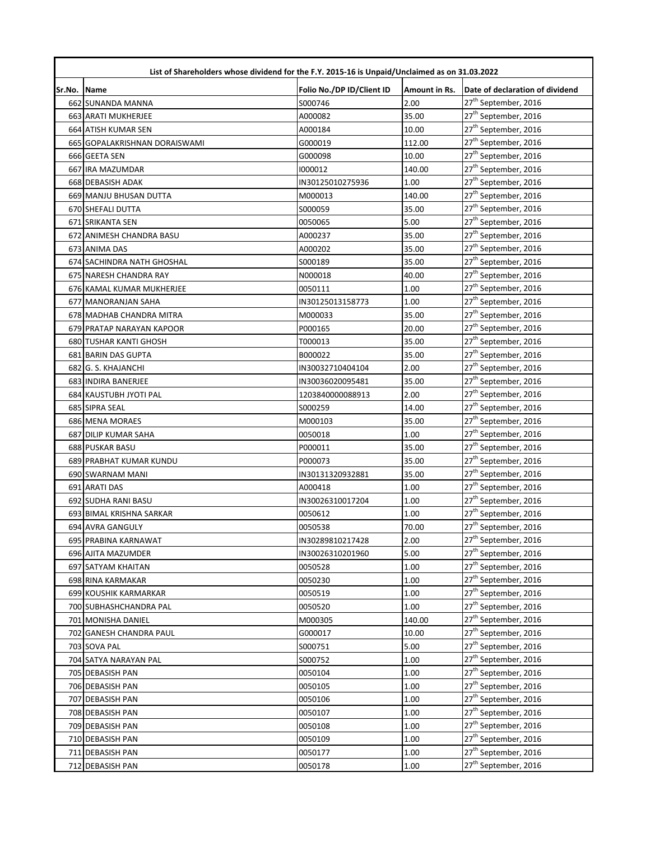| List of Shareholders whose dividend for the F.Y. 2015-16 is Unpaid/Unclaimed as on 31.03.2022 |                               |                           |               |                                  |  |
|-----------------------------------------------------------------------------------------------|-------------------------------|---------------------------|---------------|----------------------------------|--|
| Sr.No.                                                                                        | <b>Name</b>                   | Folio No./DP ID/Client ID | Amount in Rs. | Date of declaration of dividend  |  |
|                                                                                               | 662 SUNANDA MANNA             | S000746                   | 2.00          | 27 <sup>th</sup> September, 2016 |  |
|                                                                                               | 663 ARATI MUKHERJEE           | A000082                   | 35.00         | 27 <sup>th</sup> September, 2016 |  |
|                                                                                               | 664 ATISH KUMAR SEN           | A000184                   | 10.00         | 27 <sup>th</sup> September, 2016 |  |
|                                                                                               | 665 GOPALAKRISHNAN DORAISWAMI | G000019                   | 112.00        | 27 <sup>th</sup> September, 2016 |  |
|                                                                                               | 666 GEETA SEN                 | G000098                   | 10.00         | 27 <sup>th</sup> September, 2016 |  |
|                                                                                               | 667 IRA MAZUMDAR              | 1000012                   | 140.00        | 27 <sup>th</sup> September, 2016 |  |
|                                                                                               | 668 DEBASISH ADAK             | IN30125010275936          | 1.00          | 27 <sup>th</sup> September, 2016 |  |
|                                                                                               | 669 MANJU BHUSAN DUTTA        | M000013                   | 140.00        | 27 <sup>th</sup> September, 2016 |  |
|                                                                                               | 670 SHEFALI DUTTA             | S000059                   | 35.00         | 27 <sup>th</sup> September, 2016 |  |
|                                                                                               | 671 SRIKANTA SEN              | 0050065                   | 5.00          | 27 <sup>th</sup> September, 2016 |  |
|                                                                                               | 672 ANIMESH CHANDRA BASU      | A000237                   | 35.00         | 27 <sup>th</sup> September, 2016 |  |
|                                                                                               | 673 ANIMA DAS                 | A000202                   | 35.00         | 27 <sup>th</sup> September, 2016 |  |
|                                                                                               | 674 SACHINDRA NATH GHOSHAL    | S000189                   | 35.00         | 27 <sup>th</sup> September, 2016 |  |
|                                                                                               | 675 NARESH CHANDRA RAY        | N000018                   | 40.00         | 27 <sup>th</sup> September, 2016 |  |
|                                                                                               | 676 KAMAL KUMAR MUKHERJEE     | 0050111                   | 1.00          | 27 <sup>th</sup> September, 2016 |  |
|                                                                                               | 677 MANORANJAN SAHA           | IN30125013158773          | 1.00          | 27 <sup>th</sup> September, 2016 |  |
|                                                                                               | 678 MADHAB CHANDRA MITRA      | M000033                   | 35.00         | 27 <sup>th</sup> September, 2016 |  |
|                                                                                               | 679 PRATAP NARAYAN KAPOOR     | P000165                   | 20.00         | 27 <sup>th</sup> September, 2016 |  |
|                                                                                               | 680 TUSHAR KANTI GHOSH        | T000013                   | 35.00         | 27 <sup>th</sup> September, 2016 |  |
|                                                                                               | 681 BARIN DAS GUPTA           | B000022                   | 35.00         | 27 <sup>th</sup> September, 2016 |  |
|                                                                                               | 682 G. S. KHAJANCHI           | IN30032710404104          | 2.00          | 27 <sup>th</sup> September, 2016 |  |
|                                                                                               | 683 INDIRA BANERJEE           | IN30036020095481          | 35.00         | 27 <sup>th</sup> September, 2016 |  |
|                                                                                               | 684 KAUSTUBH JYOTI PAL        | 1203840000088913          | 2.00          | 27 <sup>th</sup> September, 2016 |  |
|                                                                                               | 685 SIPRA SEAL                | S000259                   | 14.00         | 27 <sup>th</sup> September, 2016 |  |
|                                                                                               | 686 MENA MORAES               | M000103                   | 35.00         | 27 <sup>th</sup> September, 2016 |  |
|                                                                                               | 687 DILIP KUMAR SAHA          | 0050018                   | 1.00          | 27 <sup>th</sup> September, 2016 |  |
|                                                                                               | 688 PUSKAR BASU               | P000011                   | 35.00         | 27 <sup>th</sup> September, 2016 |  |
|                                                                                               | 689 PRABHAT KUMAR KUNDU       | P000073                   | 35.00         | 27 <sup>th</sup> September, 2016 |  |
|                                                                                               | 690 SWARNAM MANI              | IN30131320932881          | 35.00         | 27 <sup>th</sup> September, 2016 |  |
|                                                                                               | 691 ARATI DAS                 | A000418                   | 1.00          | 27 <sup>th</sup> September, 2016 |  |
|                                                                                               | 692 SUDHA RANI BASU           | IN30026310017204          | 1.00          | 27 <sup>th</sup> September, 2016 |  |
|                                                                                               | 693 BIMAL KRISHNA SARKAR      | 0050612                   | 1.00          | 27 <sup>th</sup> September, 2016 |  |
|                                                                                               | 694 AVRA GANGULY              | 0050538                   | 70.00         | 27 <sup>th</sup> September, 2016 |  |
|                                                                                               | 695 PRABINA KARNAWAT          | IN30289810217428          | 2.00          | 27 <sup>th</sup> September, 2016 |  |
|                                                                                               | 696 AJITA MAZUMDER            | IN30026310201960          | 5.00          | 27 <sup>th</sup> September, 2016 |  |
|                                                                                               | 697 SATYAM KHAITAN            | 0050528                   | 1.00          | 27 <sup>th</sup> September, 2016 |  |
|                                                                                               | 698 RINA KARMAKAR             | 0050230                   | 1.00          | 27 <sup>th</sup> September, 2016 |  |
|                                                                                               | 699 KOUSHIK KARMARKAR         | 0050519                   | 1.00          | 27 <sup>th</sup> September, 2016 |  |
|                                                                                               | 700 SUBHASHCHANDRA PAL        | 0050520                   | 1.00          | 27 <sup>th</sup> September, 2016 |  |
|                                                                                               | 701 MONISHA DANIEL            | M000305                   | 140.00        | 27 <sup>th</sup> September, 2016 |  |
|                                                                                               | 702 GANESH CHANDRA PAUL       | G000017                   | 10.00         | 27 <sup>th</sup> September, 2016 |  |
|                                                                                               | 703 SOVA PAL                  | S000751                   | 5.00          | 27 <sup>th</sup> September, 2016 |  |
|                                                                                               | 704 SATYA NARAYAN PAL         | S000752                   | 1.00          | 27 <sup>th</sup> September, 2016 |  |
|                                                                                               | 705 DEBASISH PAN              | 0050104                   | 1.00          | 27 <sup>th</sup> September, 2016 |  |
|                                                                                               | 706 DEBASISH PAN              | 0050105                   | 1.00          | 27 <sup>th</sup> September, 2016 |  |
|                                                                                               | 707 DEBASISH PAN              | 0050106                   | 1.00          | 27 <sup>th</sup> September, 2016 |  |
|                                                                                               | 708 DEBASISH PAN              | 0050107                   | 1.00          | 27 <sup>th</sup> September, 2016 |  |
|                                                                                               | 709 DEBASISH PAN              | 0050108                   | 1.00          | 27 <sup>th</sup> September, 2016 |  |
|                                                                                               | 710 DEBASISH PAN              | 0050109                   | 1.00          | 27 <sup>th</sup> September, 2016 |  |
|                                                                                               | 711 DEBASISH PAN              | 0050177                   | 1.00          | 27 <sup>th</sup> September, 2016 |  |
|                                                                                               | 712 DEBASISH PAN              | 0050178                   | 1.00          | 27 <sup>th</sup> September, 2016 |  |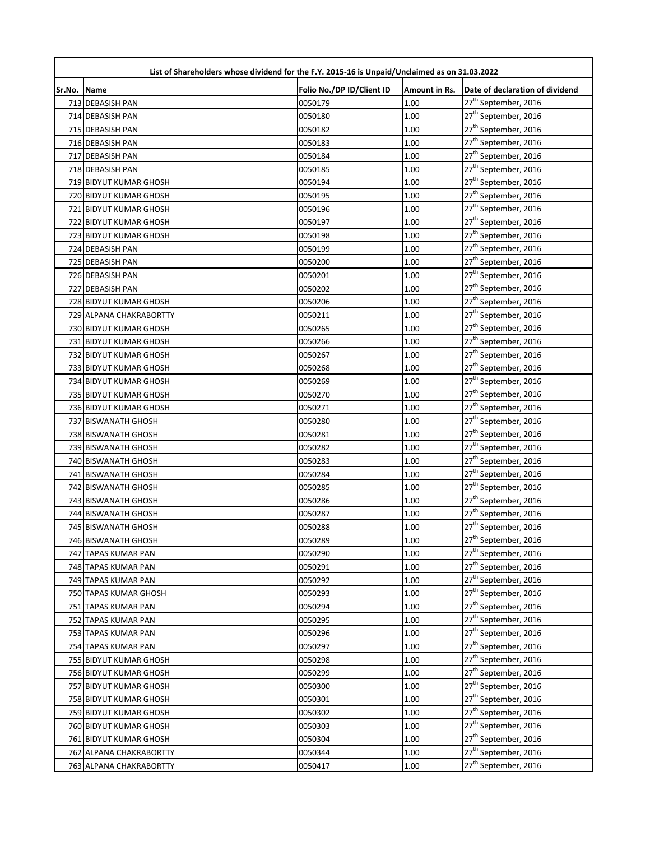| List of Shareholders whose dividend for the F.Y. 2015-16 is Unpaid/Unclaimed as on 31.03.2022 |                         |                           |               |                                  |  |
|-----------------------------------------------------------------------------------------------|-------------------------|---------------------------|---------------|----------------------------------|--|
| Sr.No. Name                                                                                   |                         | Folio No./DP ID/Client ID | Amount in Rs. | Date of declaration of dividend  |  |
|                                                                                               | 713 DEBASISH PAN        | 0050179                   | 1.00          | 27 <sup>th</sup> September, 2016 |  |
|                                                                                               | 714 DEBASISH PAN        | 0050180                   | 1.00          | 27 <sup>th</sup> September, 2016 |  |
|                                                                                               | 715 DEBASISH PAN        | 0050182                   | 1.00          | 27 <sup>th</sup> September, 2016 |  |
|                                                                                               | 716 DEBASISH PAN        | 0050183                   | 1.00          | 27 <sup>th</sup> September, 2016 |  |
|                                                                                               | 717 DEBASISH PAN        | 0050184                   | 1.00          | 27 <sup>th</sup> September, 2016 |  |
|                                                                                               | 718 DEBASISH PAN        | 0050185                   | 1.00          | 27 <sup>th</sup> September, 2016 |  |
|                                                                                               | 719 BIDYUT KUMAR GHOSH  | 0050194                   | 1.00          | 27 <sup>th</sup> September, 2016 |  |
|                                                                                               | 720 BIDYUT KUMAR GHOSH  | 0050195                   | 1.00          | 27 <sup>th</sup> September, 2016 |  |
|                                                                                               | 721 BIDYUT KUMAR GHOSH  | 0050196                   | 1.00          | 27 <sup>th</sup> September, 2016 |  |
|                                                                                               | 722 BIDYUT KUMAR GHOSH  | 0050197                   | 1.00          | 27 <sup>th</sup> September, 2016 |  |
|                                                                                               | 723 BIDYUT KUMAR GHOSH  | 0050198                   | 1.00          | 27 <sup>th</sup> September, 2016 |  |
|                                                                                               | 724 DEBASISH PAN        | 0050199                   | 1.00          | 27 <sup>th</sup> September, 2016 |  |
|                                                                                               | 725 DEBASISH PAN        | 0050200                   | 1.00          | 27 <sup>th</sup> September, 2016 |  |
|                                                                                               | 726 DEBASISH PAN        | 0050201                   | 1.00          | 27 <sup>th</sup> September, 2016 |  |
|                                                                                               | 727 DEBASISH PAN        | 0050202                   | 1.00          | 27 <sup>th</sup> September, 2016 |  |
|                                                                                               | 728 BIDYUT KUMAR GHOSH  | 0050206                   | 1.00          | 27 <sup>th</sup> September, 2016 |  |
|                                                                                               | 729 ALPANA CHAKRABORTTY | 0050211                   | 1.00          | 27 <sup>th</sup> September, 2016 |  |
|                                                                                               | 730 BIDYUT KUMAR GHOSH  | 0050265                   | 1.00          | 27 <sup>th</sup> September, 2016 |  |
|                                                                                               | 731 BIDYUT KUMAR GHOSH  | 0050266                   | 1.00          | 27 <sup>th</sup> September, 2016 |  |
|                                                                                               | 732 BIDYUT KUMAR GHOSH  | 0050267                   | 1.00          | 27 <sup>th</sup> September, 2016 |  |
|                                                                                               | 733 BIDYUT KUMAR GHOSH  | 0050268                   | 1.00          | 27 <sup>th</sup> September, 2016 |  |
|                                                                                               | 734 BIDYUT KUMAR GHOSH  | 0050269                   | 1.00          | 27 <sup>th</sup> September, 2016 |  |
|                                                                                               | 735 BIDYUT KUMAR GHOSH  | 0050270                   | 1.00          | 27 <sup>th</sup> September, 2016 |  |
|                                                                                               | 736 BIDYUT KUMAR GHOSH  | 0050271                   | 1.00          | 27 <sup>th</sup> September, 2016 |  |
|                                                                                               | 737 BISWANATH GHOSH     | 0050280                   | 1.00          | 27 <sup>th</sup> September, 2016 |  |
|                                                                                               | 738 BISWANATH GHOSH     | 0050281                   | 1.00          | 27 <sup>th</sup> September, 2016 |  |
|                                                                                               | 739 BISWANATH GHOSH     | 0050282                   | 1.00          | 27 <sup>th</sup> September, 2016 |  |
|                                                                                               | 740 BISWANATH GHOSH     | 0050283                   | 1.00          | 27 <sup>th</sup> September, 2016 |  |
|                                                                                               | 741 BISWANATH GHOSH     | 0050284                   | 1.00          | 27 <sup>th</sup> September, 2016 |  |
|                                                                                               | 742 BISWANATH GHOSH     | 0050285                   | 1.00          | 27 <sup>th</sup> September, 2016 |  |
|                                                                                               | 743 BISWANATH GHOSH     | 0050286                   | 1.00          | 27 <sup>th</sup> September, 2016 |  |
|                                                                                               | 744 BISWANATH GHOSH     | 0050287                   | 1.00          | 27 <sup>th</sup> September, 2016 |  |
|                                                                                               | 745 BISWANATH GHOSH     | 0050288                   | 1.00          | 27 <sup>th</sup> September, 2016 |  |
|                                                                                               | 746 BISWANATH GHOSH     | 0050289                   | 1.00          | 27 <sup>th</sup> September, 2016 |  |
|                                                                                               | 747 TAPAS KUMAR PAN     | 0050290                   | 1.00          | 27 <sup>th</sup> September, 2016 |  |
|                                                                                               | 748 TAPAS KUMAR PAN     | 0050291                   | 1.00          | 27 <sup>th</sup> September, 2016 |  |
|                                                                                               | 749 TAPAS KUMAR PAN     | 0050292                   | 1.00          | 27 <sup>th</sup> September, 2016 |  |
|                                                                                               | 750 TAPAS KUMAR GHOSH   | 0050293                   | 1.00          | 27 <sup>th</sup> September, 2016 |  |
|                                                                                               | 751 TAPAS KUMAR PAN     | 0050294                   | 1.00          | 27 <sup>th</sup> September, 2016 |  |
|                                                                                               | 752 TAPAS KUMAR PAN     | 0050295                   | 1.00          | 27 <sup>th</sup> September, 2016 |  |
|                                                                                               | 753 TAPAS KUMAR PAN     | 0050296                   | 1.00          | 27 <sup>th</sup> September, 2016 |  |
|                                                                                               | 754 TAPAS KUMAR PAN     | 0050297                   | 1.00          | 27 <sup>th</sup> September, 2016 |  |
|                                                                                               | 755 BIDYUT KUMAR GHOSH  | 0050298                   | 1.00          | 27 <sup>th</sup> September, 2016 |  |
|                                                                                               | 756 BIDYUT KUMAR GHOSH  | 0050299                   | 1.00          | 27 <sup>th</sup> September, 2016 |  |
|                                                                                               | 757 BIDYUT KUMAR GHOSH  | 0050300                   | 1.00          | 27 <sup>th</sup> September, 2016 |  |
|                                                                                               | 758 BIDYUT KUMAR GHOSH  | 0050301                   | 1.00          | 27 <sup>th</sup> September, 2016 |  |
|                                                                                               | 759 BIDYUT KUMAR GHOSH  | 0050302                   | 1.00          | 27 <sup>th</sup> September, 2016 |  |
|                                                                                               | 760 BIDYUT KUMAR GHOSH  | 0050303                   | 1.00          | 27 <sup>th</sup> September, 2016 |  |
|                                                                                               | 761 BIDYUT KUMAR GHOSH  | 0050304                   | 1.00          | 27 <sup>th</sup> September, 2016 |  |
|                                                                                               | 762 ALPANA CHAKRABORTTY | 0050344                   | 1.00          | 27 <sup>th</sup> September, 2016 |  |
|                                                                                               | 763 ALPANA CHAKRABORTTY | 0050417                   | 1.00          | 27 <sup>th</sup> September, 2016 |  |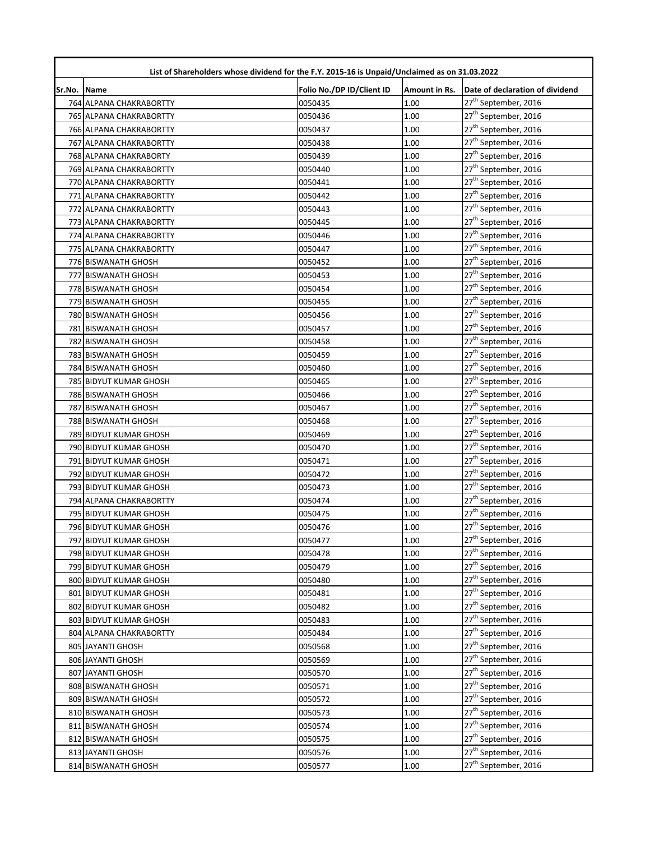| List of Shareholders whose dividend for the F.Y. 2015-16 is Unpaid/Unclaimed as on 31.03.2022 |                         |                           |               |                                  |  |
|-----------------------------------------------------------------------------------------------|-------------------------|---------------------------|---------------|----------------------------------|--|
| Sr.No. Name                                                                                   |                         | Folio No./DP ID/Client ID | Amount in Rs. | Date of declaration of dividend  |  |
|                                                                                               | 764 ALPANA CHAKRABORTTY | 0050435                   | 1.00          | 27 <sup>th</sup> September, 2016 |  |
|                                                                                               | 765 ALPANA CHAKRABORTTY | 0050436                   | 1.00          | 27 <sup>th</sup> September, 2016 |  |
|                                                                                               | 766 ALPANA CHAKRABORTTY | 0050437                   | 1.00          | 27 <sup>th</sup> September, 2016 |  |
|                                                                                               | 767 ALPANA CHAKRABORTTY | 0050438                   | 1.00          | 27 <sup>th</sup> September, 2016 |  |
|                                                                                               | 768 ALPANA CHAKRABORTY  | 0050439                   | 1.00          | 27 <sup>th</sup> September, 2016 |  |
|                                                                                               | 769 ALPANA CHAKRABORTTY | 0050440                   | 1.00          | 27 <sup>th</sup> September, 2016 |  |
|                                                                                               | 770 ALPANA CHAKRABORTTY | 0050441                   | 1.00          | 27 <sup>th</sup> September, 2016 |  |
|                                                                                               | 771 ALPANA CHAKRABORTTY | 0050442                   | 1.00          | 27 <sup>th</sup> September, 2016 |  |
|                                                                                               | 772 ALPANA CHAKRABORTTY | 0050443                   | 1.00          | 27 <sup>th</sup> September, 2016 |  |
|                                                                                               | 773 ALPANA CHAKRABORTTY | 0050445                   | 1.00          | 27 <sup>th</sup> September, 2016 |  |
|                                                                                               | 774 ALPANA CHAKRABORTTY | 0050446                   | 1.00          | 27 <sup>th</sup> September, 2016 |  |
|                                                                                               | 775 ALPANA CHAKRABORTTY | 0050447                   | 1.00          | 27 <sup>th</sup> September, 2016 |  |
|                                                                                               | 776 BISWANATH GHOSH     | 0050452                   | 1.00          | 27 <sup>th</sup> September, 2016 |  |
|                                                                                               | 777 BISWANATH GHOSH     | 0050453                   | 1.00          | 27 <sup>th</sup> September, 2016 |  |
|                                                                                               | 778 BISWANATH GHOSH     | 0050454                   | 1.00          | 27 <sup>th</sup> September, 2016 |  |
|                                                                                               | 779 BISWANATH GHOSH     | 0050455                   | 1.00          | 27 <sup>th</sup> September, 2016 |  |
|                                                                                               | 780 BISWANATH GHOSH     | 0050456                   | 1.00          | $27^{\text{th}}$ September, 2016 |  |
|                                                                                               | 781 BISWANATH GHOSH     | 0050457                   | 1.00          | 27 <sup>th</sup> September, 2016 |  |
|                                                                                               | 782 BISWANATH GHOSH     | 0050458                   | 1.00          | 27 <sup>th</sup> September, 2016 |  |
|                                                                                               | 783 BISWANATH GHOSH     | 0050459                   | 1.00          | 27 <sup>th</sup> September, 2016 |  |
|                                                                                               | 784 BISWANATH GHOSH     | 0050460                   | 1.00          | 27 <sup>th</sup> September, 2016 |  |
|                                                                                               | 785 BIDYUT KUMAR GHOSH  | 0050465                   | 1.00          | 27 <sup>th</sup> September, 2016 |  |
|                                                                                               | 786 BISWANATH GHOSH     | 0050466                   | 1.00          | 27 <sup>th</sup> September, 2016 |  |
|                                                                                               | 787 BISWANATH GHOSH     | 0050467                   | 1.00          | 27 <sup>th</sup> September, 2016 |  |
|                                                                                               | 788 BISWANATH GHOSH     | 0050468                   | 1.00          | 27 <sup>th</sup> September, 2016 |  |
|                                                                                               | 789 BIDYUT KUMAR GHOSH  | 0050469                   | 1.00          | 27 <sup>th</sup> September, 2016 |  |
|                                                                                               | 790 BIDYUT KUMAR GHOSH  | 0050470                   | 1.00          | 27 <sup>th</sup> September, 2016 |  |
|                                                                                               | 791 BIDYUT KUMAR GHOSH  | 0050471                   | 1.00          | 27 <sup>th</sup> September, 2016 |  |
|                                                                                               | 792 BIDYUT KUMAR GHOSH  | 0050472                   | 1.00          | 27 <sup>th</sup> September, 2016 |  |
|                                                                                               | 793 BIDYUT KUMAR GHOSH  | 0050473                   | 1.00          | 27 <sup>th</sup> September, 2016 |  |
|                                                                                               | 794 ALPANA CHAKRABORTTY | 0050474                   | 1.00          | 27 <sup>th</sup> September, 2016 |  |
|                                                                                               | 795 BIDYUT KUMAR GHOSH  | 0050475                   | 1.00          | 27 <sup>th</sup> September, 2016 |  |
|                                                                                               | 796 BIDYUT KUMAR GHOSH  | 0050476                   | 1.00          | 27 <sup>th</sup> September, 2016 |  |
|                                                                                               | 797 BIDYUT KUMAR GHOSH  | 0050477                   | 1.00          | 27 <sup>th</sup> September, 2016 |  |
|                                                                                               | 798 BIDYUT KUMAR GHOSH  | 0050478                   | 1.00          | 27 <sup>th</sup> September, 2016 |  |
|                                                                                               | 799 BIDYUT KUMAR GHOSH  | 0050479                   | 1.00          | 27 <sup>th</sup> September, 2016 |  |
|                                                                                               | 800 BIDYUT KUMAR GHOSH  | 0050480                   | 1.00          | 27 <sup>th</sup> September, 2016 |  |
|                                                                                               | 801 BIDYUT KUMAR GHOSH  | 0050481                   | 1.00          | 27 <sup>th</sup> September, 2016 |  |
|                                                                                               | 802 BIDYUT KUMAR GHOSH  | 0050482                   | 1.00          | 27 <sup>th</sup> September, 2016 |  |
|                                                                                               | 803 BIDYUT KUMAR GHOSH  | 0050483                   | 1.00          | 27 <sup>th</sup> September, 2016 |  |
|                                                                                               | 804 ALPANA CHAKRABORTTY | 0050484                   | 1.00          | 27 <sup>th</sup> September, 2016 |  |
|                                                                                               | 805 JAYANTI GHOSH       | 0050568                   | 1.00          | 27 <sup>th</sup> September, 2016 |  |
|                                                                                               | 806 JAYANTI GHOSH       | 0050569                   | 1.00          | 27 <sup>th</sup> September, 2016 |  |
|                                                                                               | 807 JAYANTI GHOSH       | 0050570                   | 1.00          | 27 <sup>th</sup> September, 2016 |  |
|                                                                                               | 808 BISWANATH GHOSH     | 0050571                   | 1.00          | 27 <sup>th</sup> September, 2016 |  |
|                                                                                               | 809 BISWANATH GHOSH     | 0050572                   | 1.00          | 27 <sup>th</sup> September, 2016 |  |
|                                                                                               | 810 BISWANATH GHOSH     | 0050573                   | 1.00          | 27 <sup>th</sup> September, 2016 |  |
|                                                                                               | 811 BISWANATH GHOSH     | 0050574                   | 1.00          | 27 <sup>th</sup> September, 2016 |  |
|                                                                                               | 812 BISWANATH GHOSH     | 0050575                   | 1.00          | 27 <sup>th</sup> September, 2016 |  |
|                                                                                               | 813 JAYANTI GHOSH       | 0050576                   | 1.00          | 27 <sup>th</sup> September, 2016 |  |
|                                                                                               | 814 BISWANATH GHOSH     | 0050577                   | 1.00          | 27 <sup>th</sup> September, 2016 |  |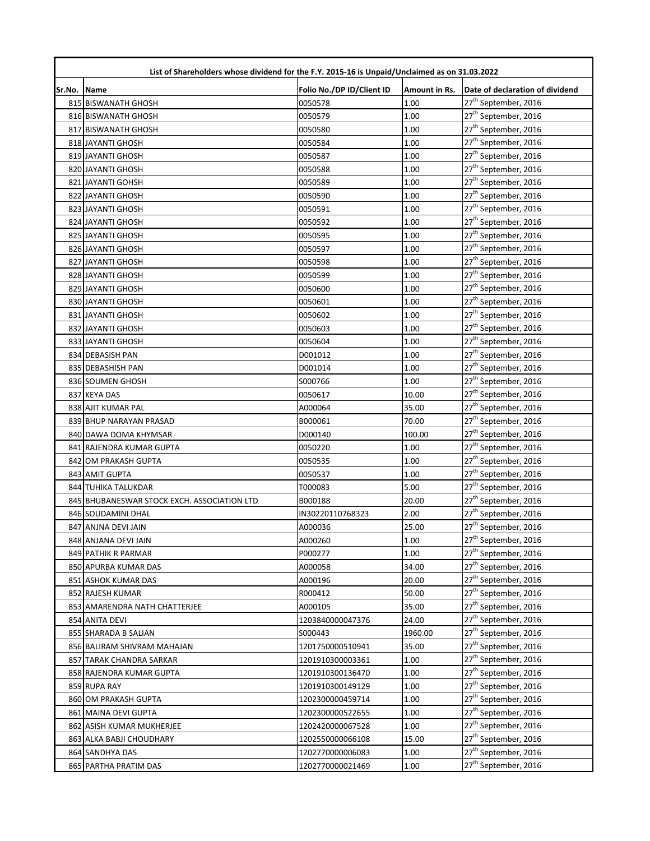| List of Shareholders whose dividend for the F.Y. 2015-16 is Unpaid/Unclaimed as on 31.03.2022 |                                             |                           |               |                                  |  |
|-----------------------------------------------------------------------------------------------|---------------------------------------------|---------------------------|---------------|----------------------------------|--|
| Sr.No.                                                                                        | <b>Name</b>                                 | Folio No./DP ID/Client ID | Amount in Rs. | Date of declaration of dividend  |  |
|                                                                                               | 815 BISWANATH GHOSH                         | 0050578                   | 1.00          | 27 <sup>th</sup> September, 2016 |  |
|                                                                                               | 816 BISWANATH GHOSH                         | 0050579                   | 1.00          | 27 <sup>th</sup> September, 2016 |  |
|                                                                                               | 817 BISWANATH GHOSH                         | 0050580                   | 1.00          | 27 <sup>th</sup> September, 2016 |  |
|                                                                                               | 818 JAYANTI GHOSH                           | 0050584                   | 1.00          | 27 <sup>th</sup> September, 2016 |  |
|                                                                                               | 819 JAYANTI GHOSH                           | 0050587                   | 1.00          | 27 <sup>th</sup> September, 2016 |  |
|                                                                                               | 820 JAYANTI GHOSH                           | 0050588                   | 1.00          | 27 <sup>th</sup> September, 2016 |  |
|                                                                                               | 821 JAYANTI GOHSH                           | 0050589                   | 1.00          | 27 <sup>th</sup> September, 2016 |  |
|                                                                                               | 822 JAYANTI GHOSH                           | 0050590                   | 1.00          | 27 <sup>th</sup> September, 2016 |  |
|                                                                                               | 823 JAYANTI GHOSH                           | 0050591                   | 1.00          | 27 <sup>th</sup> September, 2016 |  |
|                                                                                               | 824 JAYANTI GHOSH                           | 0050592                   | 1.00          | 27 <sup>th</sup> September, 2016 |  |
|                                                                                               | 825 JAYANTI GHOSH                           | 0050595                   | 1.00          | 27 <sup>th</sup> September, 2016 |  |
|                                                                                               | 826 JAYANTI GHOSH                           | 0050597                   | 1.00          | 27 <sup>th</sup> September, 2016 |  |
|                                                                                               | 827 JAYANTI GHOSH                           | 0050598                   | 1.00          | 27 <sup>th</sup> September, 2016 |  |
|                                                                                               | 828 JAYANTI GHOSH                           | 0050599                   | 1.00          | 27 <sup>th</sup> September, 2016 |  |
|                                                                                               | 829 JAYANTI GHOSH                           | 0050600                   | 1.00          | 27 <sup>th</sup> September, 2016 |  |
|                                                                                               | 830 JAYANTI GHOSH                           | 0050601                   | 1.00          | 27 <sup>th</sup> September, 2016 |  |
|                                                                                               | 831 JAYANTI GHOSH                           | 0050602                   | 1.00          | 27 <sup>th</sup> September, 2016 |  |
|                                                                                               | 832 JAYANTI GHOSH                           | 0050603                   | 1.00          | 27 <sup>th</sup> September, 2016 |  |
|                                                                                               | 833 JAYANTI GHOSH                           | 0050604                   | 1.00          | 27 <sup>th</sup> September, 2016 |  |
|                                                                                               | 834 DEBASISH PAN                            | D001012                   | 1.00          | 27 <sup>th</sup> September, 2016 |  |
|                                                                                               | 835 DEBASHISH PAN                           | D001014                   | 1.00          | 27 <sup>th</sup> September, 2016 |  |
|                                                                                               | 836 SOUMEN GHOSH                            | S000766                   | 1.00          | 27 <sup>th</sup> September, 2016 |  |
|                                                                                               | 837 KEYA DAS                                | 0050617                   | 10.00         | 27 <sup>th</sup> September, 2016 |  |
|                                                                                               | 838 AJIT KUMAR PAL                          | A000064                   | 35.00         | 27 <sup>th</sup> September, 2016 |  |
|                                                                                               | 839 BHUP NARAYAN PRASAD                     | B000061                   | 70.00         | 27 <sup>th</sup> September, 2016 |  |
|                                                                                               | 840 DAWA DOMA KHYMSAR                       | D000140                   | 100.00        | 27 <sup>th</sup> September, 2016 |  |
|                                                                                               | 841 RAJENDRA KUMAR GUPTA                    | 0050220                   | 1.00          | 27 <sup>th</sup> September, 2016 |  |
|                                                                                               | 842 OM PRAKASH GUPTA                        | 0050535                   | 1.00          | 27 <sup>th</sup> September, 2016 |  |
|                                                                                               | 843 AMIT GUPTA                              | 0050537                   | 1.00          | 27 <sup>th</sup> September, 2016 |  |
|                                                                                               | 844 TUHIKA TALUKDAR                         | T000083                   | 5.00          | 27 <sup>th</sup> September, 2016 |  |
|                                                                                               | 845 BHUBANESWAR STOCK EXCH. ASSOCIATION LTD | B000188                   | 20.00         | 27 <sup>th</sup> September, 2016 |  |
|                                                                                               | 846 SOUDAMINI DHAL                          | IN30220110768323          | 2.00          | 27 <sup>th</sup> September, 2016 |  |
|                                                                                               | 847 ANJNA DEVI JAIN                         | A000036                   | 25.00         | 27 <sup>th</sup> September, 2016 |  |
|                                                                                               | 848 ANJANA DEVI JAIN                        | A000260                   | 1.00          | 27 <sup>th</sup> September, 2016 |  |
|                                                                                               | 849 PATHIK R PARMAR                         | P000277                   | 1.00          | 27 <sup>th</sup> September, 2016 |  |
|                                                                                               | 850 APURBA KUMAR DAS                        | A000058                   | 34.00         | 27 <sup>th</sup> September, 2016 |  |
|                                                                                               | 851 ASHOK KUMAR DAS                         | A000196                   | 20.00         | 27 <sup>th</sup> September, 2016 |  |
|                                                                                               | 852 RAJESH KUMAR                            | R000412                   | 50.00         | 27 <sup>th</sup> September, 2016 |  |
|                                                                                               | 853 AMARENDRA NATH CHATTERJEE               | A000105                   | 35.00         | 27 <sup>th</sup> September, 2016 |  |
|                                                                                               | 854 ANITA DEVI                              | 1203840000047376          | 24.00         | 27 <sup>th</sup> September, 2016 |  |
|                                                                                               | 855 SHARADA B SALIAN                        | S000443                   | 1960.00       | 27 <sup>th</sup> September, 2016 |  |
|                                                                                               | 856 BALIRAM SHIVRAM MAHAJAN                 | 1201750000510941          | 35.00         | 27 <sup>th</sup> September, 2016 |  |
|                                                                                               | 857 TARAK CHANDRA SARKAR                    | 1201910300003361          | 1.00          | 27 <sup>th</sup> September, 2016 |  |
|                                                                                               | 858 RAJENDRA KUMAR GUPTA                    | 1201910300136470          | 1.00          | 27 <sup>th</sup> September, 2016 |  |
|                                                                                               | 859 RUPA RAY                                | 1201910300149129          | 1.00          | 27 <sup>th</sup> September, 2016 |  |
|                                                                                               | 860 OM PRAKASH GUPTA                        | 1202300000459714          | 1.00          | 27 <sup>th</sup> September, 2016 |  |
|                                                                                               | 861 MAINA DEVI GUPTA                        | 1202300000522655          | 1.00          | 27 <sup>th</sup> September, 2016 |  |
|                                                                                               | 862 ASISH KUMAR MUKHERJEE                   | 1202420000067528          | 1.00          | 27 <sup>th</sup> September, 2016 |  |
|                                                                                               | 863 ALKA BABJI CHOUDHARY                    | 1202550000066108          | 15.00         | 27 <sup>th</sup> September, 2016 |  |
|                                                                                               | 864 SANDHYA DAS                             | 1202770000006083          | 1.00          | 27 <sup>th</sup> September, 2016 |  |
|                                                                                               | 865 PARTHA PRATIM DAS                       | 1202770000021469          | 1.00          | 27 <sup>th</sup> September, 2016 |  |